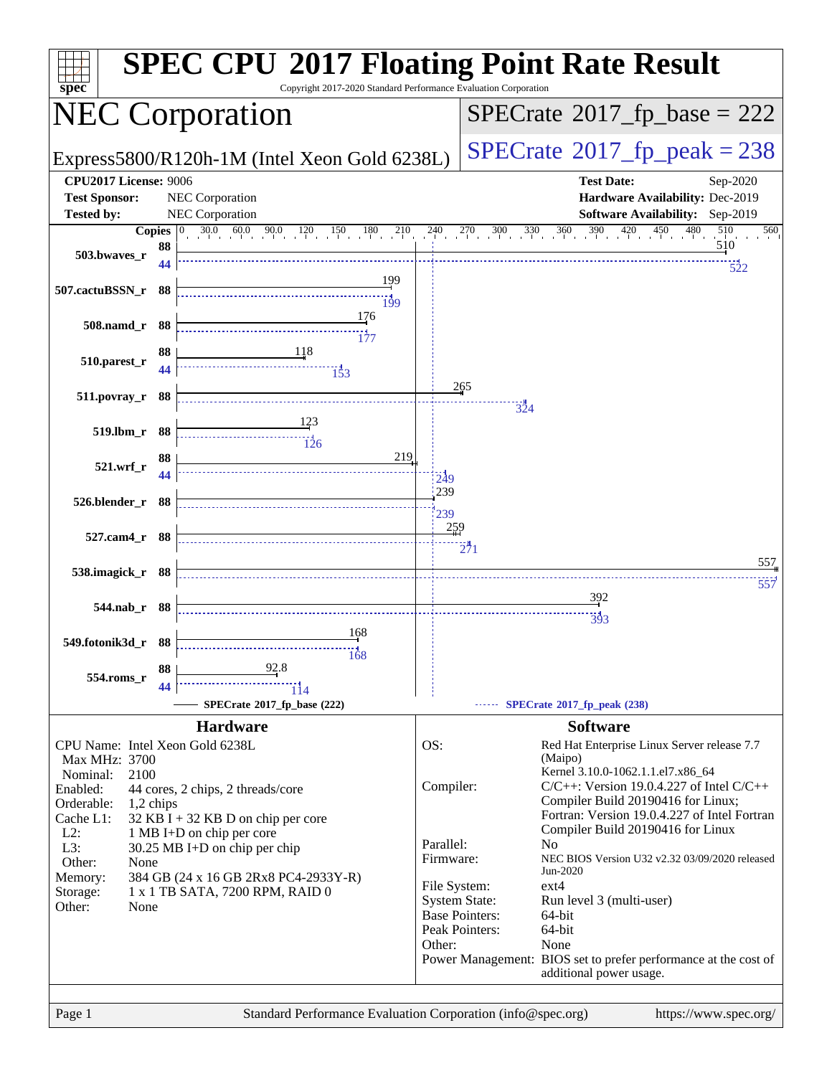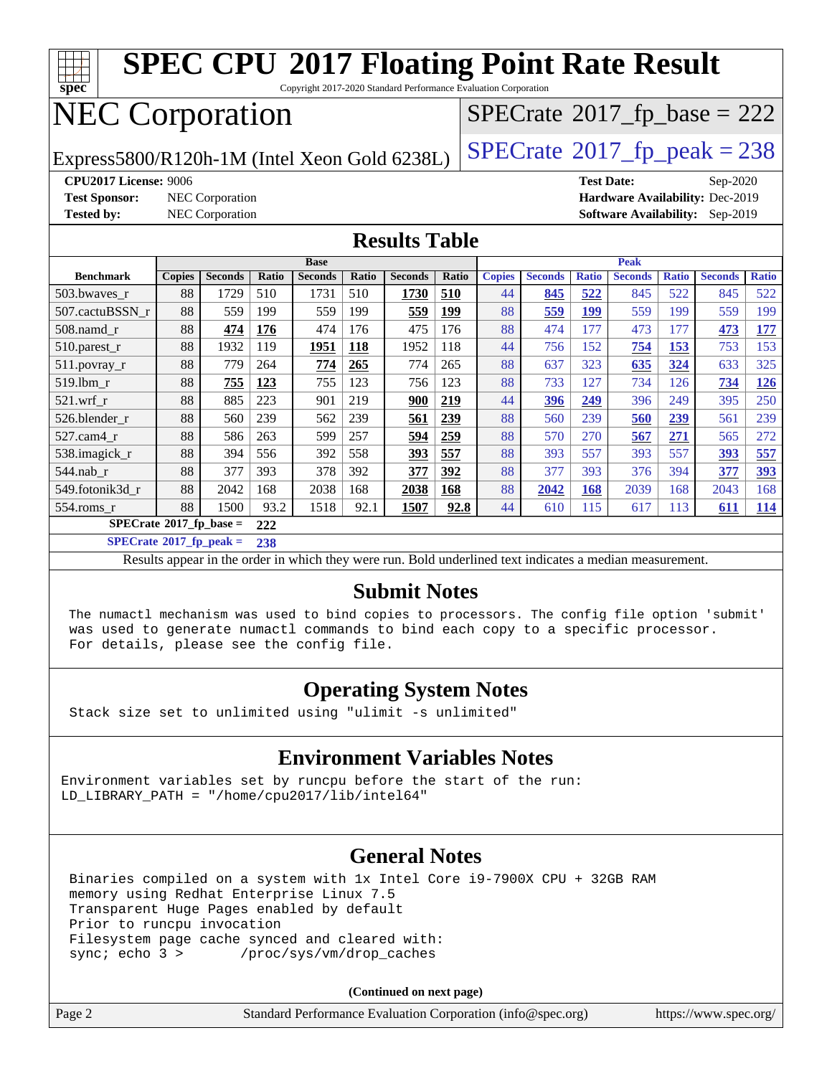

**[SPECrate](http://www.spec.org/auto/cpu2017/Docs/result-fields.html#SPECrate2017fppeak)[2017\\_fp\\_peak =](http://www.spec.org/auto/cpu2017/Docs/result-fields.html#SPECrate2017fppeak) 238**

Results appear in the [order in which they were run.](http://www.spec.org/auto/cpu2017/Docs/result-fields.html#RunOrder) Bold underlined text [indicates a median measurement.](http://www.spec.org/auto/cpu2017/Docs/result-fields.html#Median)

#### **[Submit Notes](http://www.spec.org/auto/cpu2017/Docs/result-fields.html#SubmitNotes)**

 The numactl mechanism was used to bind copies to processors. The config file option 'submit' was used to generate numactl commands to bind each copy to a specific processor. For details, please see the config file.

#### **[Operating System Notes](http://www.spec.org/auto/cpu2017/Docs/result-fields.html#OperatingSystemNotes)**

Stack size set to unlimited using "ulimit -s unlimited"

#### **[Environment Variables Notes](http://www.spec.org/auto/cpu2017/Docs/result-fields.html#EnvironmentVariablesNotes)**

Environment variables set by runcpu before the start of the run: LD LIBRARY PATH = "/home/cpu2017/lib/intel64"

#### **[General Notes](http://www.spec.org/auto/cpu2017/Docs/result-fields.html#GeneralNotes)**

 Binaries compiled on a system with 1x Intel Core i9-7900X CPU + 32GB RAM memory using Redhat Enterprise Linux 7.5 Transparent Huge Pages enabled by default Prior to runcpu invocation Filesystem page cache synced and cleared with: sync; echo 3 > /proc/sys/vm/drop\_caches

**(Continued on next page)**

| Page 2<br>Standard Performance Evaluation Corporation (info@spec.org)<br>https://www.spec.org/ |
|------------------------------------------------------------------------------------------------|
|------------------------------------------------------------------------------------------------|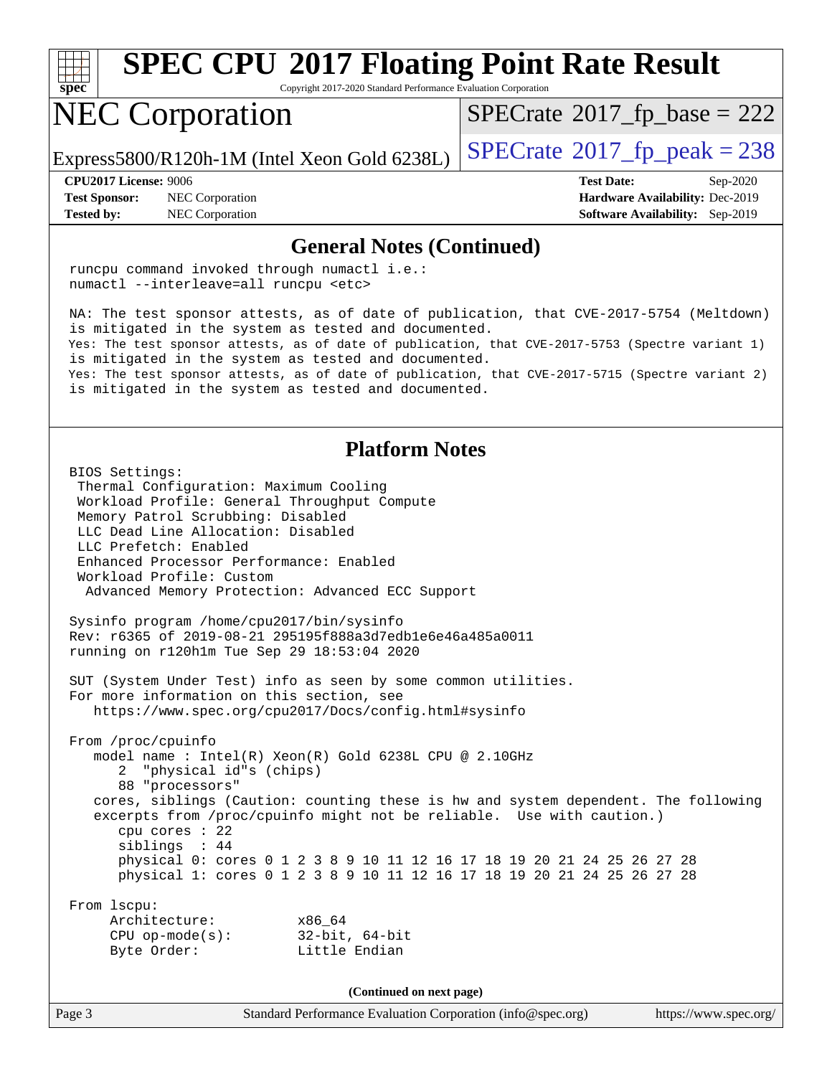

Copyright 2017-2020 Standard Performance Evaluation Corporation

## NEC Corporation

 $SPECTate$ <sup>®</sup>[2017\\_fp\\_base =](http://www.spec.org/auto/cpu2017/Docs/result-fields.html#SPECrate2017fpbase) 222

Express5800/R120h-1M (Intel Xeon Gold 6238L)  $\vert$  [SPECrate](http://www.spec.org/auto/cpu2017/Docs/result-fields.html#SPECrate2017fppeak)®[2017\\_fp\\_peak = 2](http://www.spec.org/auto/cpu2017/Docs/result-fields.html#SPECrate2017fppeak)38

**[Test Sponsor:](http://www.spec.org/auto/cpu2017/Docs/result-fields.html#TestSponsor)** NEC Corporation **[Hardware Availability:](http://www.spec.org/auto/cpu2017/Docs/result-fields.html#HardwareAvailability)** Dec-2019 **[Tested by:](http://www.spec.org/auto/cpu2017/Docs/result-fields.html#Testedby)** NEC Corporation **[Software Availability:](http://www.spec.org/auto/cpu2017/Docs/result-fields.html#SoftwareAvailability)** Sep-2019

**[CPU2017 License:](http://www.spec.org/auto/cpu2017/Docs/result-fields.html#CPU2017License)** 9006 **[Test Date:](http://www.spec.org/auto/cpu2017/Docs/result-fields.html#TestDate)** Sep-2020

#### **[General Notes \(Continued\)](http://www.spec.org/auto/cpu2017/Docs/result-fields.html#GeneralNotes)**

 runcpu command invoked through numactl i.e.: numactl --interleave=all runcpu <etc>

 NA: The test sponsor attests, as of date of publication, that CVE-2017-5754 (Meltdown) is mitigated in the system as tested and documented. Yes: The test sponsor attests, as of date of publication, that CVE-2017-5753 (Spectre variant 1) is mitigated in the system as tested and documented. Yes: The test sponsor attests, as of date of publication, that CVE-2017-5715 (Spectre variant 2) is mitigated in the system as tested and documented.

#### **[Platform Notes](http://www.spec.org/auto/cpu2017/Docs/result-fields.html#PlatformNotes)**

 BIOS Settings: Thermal Configuration: Maximum Cooling Workload Profile: General Throughput Compute Memory Patrol Scrubbing: Disabled LLC Dead Line Allocation: Disabled LLC Prefetch: Enabled Enhanced Processor Performance: Enabled Workload Profile: Custom Advanced Memory Protection: Advanced ECC Support Sysinfo program /home/cpu2017/bin/sysinfo Rev: r6365 of 2019-08-21 295195f888a3d7edb1e6e46a485a0011 running on r120h1m Tue Sep 29 18:53:04 2020 SUT (System Under Test) info as seen by some common utilities. For more information on this section, see <https://www.spec.org/cpu2017/Docs/config.html#sysinfo> From /proc/cpuinfo model name : Intel(R) Xeon(R) Gold 6238L CPU @ 2.10GHz 2 "physical id"s (chips) 88 "processors" cores, siblings (Caution: counting these is hw and system dependent. The following excerpts from /proc/cpuinfo might not be reliable. Use with caution.) cpu cores : 22 siblings : 44 physical 0: cores 0 1 2 3 8 9 10 11 12 16 17 18 19 20 21 24 25 26 27 28 physical 1: cores 0 1 2 3 8 9 10 11 12 16 17 18 19 20 21 24 25 26 27 28 From lscpu: Architecture: x86\_64 CPU op-mode(s): 32-bit, 64-bit Byte Order: Little Endian **(Continued on next page)**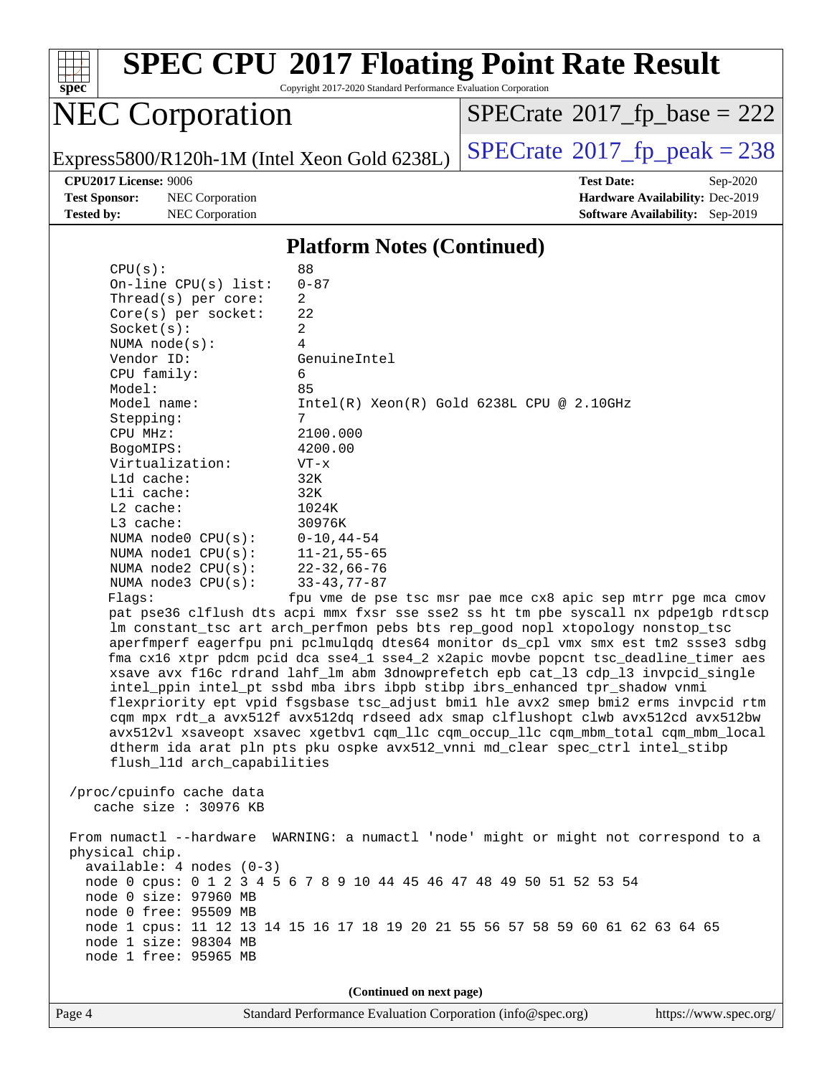

Copyright 2017-2020 Standard Performance Evaluation Corporation

## NEC Corporation

 $SPECrate$ <sup>®</sup>[2017\\_fp\\_base =](http://www.spec.org/auto/cpu2017/Docs/result-fields.html#SPECrate2017fpbase) 222

Express5800/R120h-1M (Intel Xeon Gold 6238L)  $\left|$  [SPECrate](http://www.spec.org/auto/cpu2017/Docs/result-fields.html#SPECrate2017fppeak)®[2017\\_fp\\_peak = 2](http://www.spec.org/auto/cpu2017/Docs/result-fields.html#SPECrate2017fppeak)38

**[Test Sponsor:](http://www.spec.org/auto/cpu2017/Docs/result-fields.html#TestSponsor)** NEC Corporation **[Hardware Availability:](http://www.spec.org/auto/cpu2017/Docs/result-fields.html#HardwareAvailability)** Dec-2019 **[Tested by:](http://www.spec.org/auto/cpu2017/Docs/result-fields.html#Testedby)** NEC Corporation **[Software Availability:](http://www.spec.org/auto/cpu2017/Docs/result-fields.html#SoftwareAvailability)** Sep-2019

**[CPU2017 License:](http://www.spec.org/auto/cpu2017/Docs/result-fields.html#CPU2017License)** 9006 **[Test Date:](http://www.spec.org/auto/cpu2017/Docs/result-fields.html#TestDate)** Sep-2020

#### **[Platform Notes \(Continued\)](http://www.spec.org/auto/cpu2017/Docs/result-fields.html#PlatformNotes)**

| $0 - 87$<br>On-line $CPU(s)$ list:<br>Thread( $s$ ) per core:<br>2<br>22<br>$Core(s)$ per socket:<br>$\overline{2}$<br>Socket(s):<br>4<br>NUMA $node(s):$<br>Vendor ID:<br>GenuineIntel<br>CPU family:<br>6<br>Model:<br>85<br>Model name:<br>$Intel(R) Xeon(R) Gold 6238L CPU @ 2.10GHz$<br>Stepping:<br>7<br>2100.000<br>CPU MHz:<br>4200.00<br>BogoMIPS:<br>Virtualization:<br>$VT - x$<br>L1d cache:<br>32K<br>Lli cache:<br>32K<br>L2 cache:<br>1024K<br>$L3$ cache:<br>30976K<br>NUMA node0 CPU(s):<br>$0 - 10, 44 - 54$<br>NUMA nodel $CPU(s):$<br>$11 - 21, 55 - 65$<br>NUMA $node2$ $CPU(s)$ :<br>$22 - 32,66 - 76$<br>NUMA $node3$ $CPU(s):$<br>$33 - 43, 77 - 87$<br>Flags:<br>fpu vme de pse tsc msr pae mce cx8 apic sep mtrr pge mca cmov<br>pat pse36 clflush dts acpi mmx fxsr sse sse2 ss ht tm pbe syscall nx pdpelgb rdtscp<br>lm constant_tsc art arch_perfmon pebs bts rep_good nopl xtopology nonstop_tsc<br>aperfmperf eagerfpu pni pclmulqdq dtes64 monitor ds_cpl vmx smx est tm2 ssse3 sdbg<br>fma cx16 xtpr pdcm pcid dca sse4_1 sse4_2 x2apic movbe popcnt tsc_deadline_timer aes<br>xsave avx f16c rdrand lahf_lm abm 3dnowprefetch epb cat_13 cdp_13 invpcid_single<br>intel_ppin intel_pt ssbd mba ibrs ibpb stibp ibrs_enhanced tpr_shadow vnmi<br>flexpriority ept vpid fsgsbase tsc_adjust bmil hle avx2 smep bmi2 erms invpcid rtm<br>cqm mpx rdt_a avx512f avx512dq rdseed adx smap clflushopt clwb avx512cd avx512bw<br>avx512vl xsaveopt xsavec xgetbvl cqm_llc cqm_occup_llc cqm_mbm_total cqm_mbm_local<br>dtherm ida arat pln pts pku ospke avx512_vnni md_clear spec_ctrl intel_stibp<br>flush_l1d arch_capabilities<br>/proc/cpuinfo cache data<br>cache size : 30976 KB<br>From numactl --hardware WARNING: a numactl 'node' might or might not correspond to a<br>physical chip.<br>$available: 4 nodes (0-3)$<br>node 0 cpus: 0 1 2 3 4 5 6 7 8 9 10 44 45 46 47 48 49 50 51 52 53 54<br>node 0 size: 97960 MB<br>node 0 free: 95509 MB<br>node 1 cpus: 11 12 13 14 15 16 17 18 19 20 21 55 56 57 58 59 60 61 62 63 64 65<br>node 1 size: 98304 MB<br>node 1 free: 95965 MB<br>(Continued on next page) | CPU(s): | 88 |  |  |  |
|-------------------------------------------------------------------------------------------------------------------------------------------------------------------------------------------------------------------------------------------------------------------------------------------------------------------------------------------------------------------------------------------------------------------------------------------------------------------------------------------------------------------------------------------------------------------------------------------------------------------------------------------------------------------------------------------------------------------------------------------------------------------------------------------------------------------------------------------------------------------------------------------------------------------------------------------------------------------------------------------------------------------------------------------------------------------------------------------------------------------------------------------------------------------------------------------------------------------------------------------------------------------------------------------------------------------------------------------------------------------------------------------------------------------------------------------------------------------------------------------------------------------------------------------------------------------------------------------------------------------------------------------------------------------------------------------------------------------------------------------------------------------------------------------------------------------------------------------------------------------------------------------------------------------------------------------------------------------------------------------------------------------------------------------------------------------------------------------------------------------------------------------------------|---------|----|--|--|--|
|                                                                                                                                                                                                                                                                                                                                                                                                                                                                                                                                                                                                                                                                                                                                                                                                                                                                                                                                                                                                                                                                                                                                                                                                                                                                                                                                                                                                                                                                                                                                                                                                                                                                                                                                                                                                                                                                                                                                                                                                                                                                                                                                                       |         |    |  |  |  |
|                                                                                                                                                                                                                                                                                                                                                                                                                                                                                                                                                                                                                                                                                                                                                                                                                                                                                                                                                                                                                                                                                                                                                                                                                                                                                                                                                                                                                                                                                                                                                                                                                                                                                                                                                                                                                                                                                                                                                                                                                                                                                                                                                       |         |    |  |  |  |
|                                                                                                                                                                                                                                                                                                                                                                                                                                                                                                                                                                                                                                                                                                                                                                                                                                                                                                                                                                                                                                                                                                                                                                                                                                                                                                                                                                                                                                                                                                                                                                                                                                                                                                                                                                                                                                                                                                                                                                                                                                                                                                                                                       |         |    |  |  |  |
|                                                                                                                                                                                                                                                                                                                                                                                                                                                                                                                                                                                                                                                                                                                                                                                                                                                                                                                                                                                                                                                                                                                                                                                                                                                                                                                                                                                                                                                                                                                                                                                                                                                                                                                                                                                                                                                                                                                                                                                                                                                                                                                                                       |         |    |  |  |  |
|                                                                                                                                                                                                                                                                                                                                                                                                                                                                                                                                                                                                                                                                                                                                                                                                                                                                                                                                                                                                                                                                                                                                                                                                                                                                                                                                                                                                                                                                                                                                                                                                                                                                                                                                                                                                                                                                                                                                                                                                                                                                                                                                                       |         |    |  |  |  |
|                                                                                                                                                                                                                                                                                                                                                                                                                                                                                                                                                                                                                                                                                                                                                                                                                                                                                                                                                                                                                                                                                                                                                                                                                                                                                                                                                                                                                                                                                                                                                                                                                                                                                                                                                                                                                                                                                                                                                                                                                                                                                                                                                       |         |    |  |  |  |
|                                                                                                                                                                                                                                                                                                                                                                                                                                                                                                                                                                                                                                                                                                                                                                                                                                                                                                                                                                                                                                                                                                                                                                                                                                                                                                                                                                                                                                                                                                                                                                                                                                                                                                                                                                                                                                                                                                                                                                                                                                                                                                                                                       |         |    |  |  |  |
|                                                                                                                                                                                                                                                                                                                                                                                                                                                                                                                                                                                                                                                                                                                                                                                                                                                                                                                                                                                                                                                                                                                                                                                                                                                                                                                                                                                                                                                                                                                                                                                                                                                                                                                                                                                                                                                                                                                                                                                                                                                                                                                                                       |         |    |  |  |  |
|                                                                                                                                                                                                                                                                                                                                                                                                                                                                                                                                                                                                                                                                                                                                                                                                                                                                                                                                                                                                                                                                                                                                                                                                                                                                                                                                                                                                                                                                                                                                                                                                                                                                                                                                                                                                                                                                                                                                                                                                                                                                                                                                                       |         |    |  |  |  |
|                                                                                                                                                                                                                                                                                                                                                                                                                                                                                                                                                                                                                                                                                                                                                                                                                                                                                                                                                                                                                                                                                                                                                                                                                                                                                                                                                                                                                                                                                                                                                                                                                                                                                                                                                                                                                                                                                                                                                                                                                                                                                                                                                       |         |    |  |  |  |
|                                                                                                                                                                                                                                                                                                                                                                                                                                                                                                                                                                                                                                                                                                                                                                                                                                                                                                                                                                                                                                                                                                                                                                                                                                                                                                                                                                                                                                                                                                                                                                                                                                                                                                                                                                                                                                                                                                                                                                                                                                                                                                                                                       |         |    |  |  |  |
|                                                                                                                                                                                                                                                                                                                                                                                                                                                                                                                                                                                                                                                                                                                                                                                                                                                                                                                                                                                                                                                                                                                                                                                                                                                                                                                                                                                                                                                                                                                                                                                                                                                                                                                                                                                                                                                                                                                                                                                                                                                                                                                                                       |         |    |  |  |  |
|                                                                                                                                                                                                                                                                                                                                                                                                                                                                                                                                                                                                                                                                                                                                                                                                                                                                                                                                                                                                                                                                                                                                                                                                                                                                                                                                                                                                                                                                                                                                                                                                                                                                                                                                                                                                                                                                                                                                                                                                                                                                                                                                                       |         |    |  |  |  |
|                                                                                                                                                                                                                                                                                                                                                                                                                                                                                                                                                                                                                                                                                                                                                                                                                                                                                                                                                                                                                                                                                                                                                                                                                                                                                                                                                                                                                                                                                                                                                                                                                                                                                                                                                                                                                                                                                                                                                                                                                                                                                                                                                       |         |    |  |  |  |
|                                                                                                                                                                                                                                                                                                                                                                                                                                                                                                                                                                                                                                                                                                                                                                                                                                                                                                                                                                                                                                                                                                                                                                                                                                                                                                                                                                                                                                                                                                                                                                                                                                                                                                                                                                                                                                                                                                                                                                                                                                                                                                                                                       |         |    |  |  |  |
|                                                                                                                                                                                                                                                                                                                                                                                                                                                                                                                                                                                                                                                                                                                                                                                                                                                                                                                                                                                                                                                                                                                                                                                                                                                                                                                                                                                                                                                                                                                                                                                                                                                                                                                                                                                                                                                                                                                                                                                                                                                                                                                                                       |         |    |  |  |  |
|                                                                                                                                                                                                                                                                                                                                                                                                                                                                                                                                                                                                                                                                                                                                                                                                                                                                                                                                                                                                                                                                                                                                                                                                                                                                                                                                                                                                                                                                                                                                                                                                                                                                                                                                                                                                                                                                                                                                                                                                                                                                                                                                                       |         |    |  |  |  |
|                                                                                                                                                                                                                                                                                                                                                                                                                                                                                                                                                                                                                                                                                                                                                                                                                                                                                                                                                                                                                                                                                                                                                                                                                                                                                                                                                                                                                                                                                                                                                                                                                                                                                                                                                                                                                                                                                                                                                                                                                                                                                                                                                       |         |    |  |  |  |
|                                                                                                                                                                                                                                                                                                                                                                                                                                                                                                                                                                                                                                                                                                                                                                                                                                                                                                                                                                                                                                                                                                                                                                                                                                                                                                                                                                                                                                                                                                                                                                                                                                                                                                                                                                                                                                                                                                                                                                                                                                                                                                                                                       |         |    |  |  |  |
|                                                                                                                                                                                                                                                                                                                                                                                                                                                                                                                                                                                                                                                                                                                                                                                                                                                                                                                                                                                                                                                                                                                                                                                                                                                                                                                                                                                                                                                                                                                                                                                                                                                                                                                                                                                                                                                                                                                                                                                                                                                                                                                                                       |         |    |  |  |  |
|                                                                                                                                                                                                                                                                                                                                                                                                                                                                                                                                                                                                                                                                                                                                                                                                                                                                                                                                                                                                                                                                                                                                                                                                                                                                                                                                                                                                                                                                                                                                                                                                                                                                                                                                                                                                                                                                                                                                                                                                                                                                                                                                                       |         |    |  |  |  |
|                                                                                                                                                                                                                                                                                                                                                                                                                                                                                                                                                                                                                                                                                                                                                                                                                                                                                                                                                                                                                                                                                                                                                                                                                                                                                                                                                                                                                                                                                                                                                                                                                                                                                                                                                                                                                                                                                                                                                                                                                                                                                                                                                       |         |    |  |  |  |
|                                                                                                                                                                                                                                                                                                                                                                                                                                                                                                                                                                                                                                                                                                                                                                                                                                                                                                                                                                                                                                                                                                                                                                                                                                                                                                                                                                                                                                                                                                                                                                                                                                                                                                                                                                                                                                                                                                                                                                                                                                                                                                                                                       |         |    |  |  |  |
|                                                                                                                                                                                                                                                                                                                                                                                                                                                                                                                                                                                                                                                                                                                                                                                                                                                                                                                                                                                                                                                                                                                                                                                                                                                                                                                                                                                                                                                                                                                                                                                                                                                                                                                                                                                                                                                                                                                                                                                                                                                                                                                                                       |         |    |  |  |  |
|                                                                                                                                                                                                                                                                                                                                                                                                                                                                                                                                                                                                                                                                                                                                                                                                                                                                                                                                                                                                                                                                                                                                                                                                                                                                                                                                                                                                                                                                                                                                                                                                                                                                                                                                                                                                                                                                                                                                                                                                                                                                                                                                                       |         |    |  |  |  |
|                                                                                                                                                                                                                                                                                                                                                                                                                                                                                                                                                                                                                                                                                                                                                                                                                                                                                                                                                                                                                                                                                                                                                                                                                                                                                                                                                                                                                                                                                                                                                                                                                                                                                                                                                                                                                                                                                                                                                                                                                                                                                                                                                       |         |    |  |  |  |
|                                                                                                                                                                                                                                                                                                                                                                                                                                                                                                                                                                                                                                                                                                                                                                                                                                                                                                                                                                                                                                                                                                                                                                                                                                                                                                                                                                                                                                                                                                                                                                                                                                                                                                                                                                                                                                                                                                                                                                                                                                                                                                                                                       |         |    |  |  |  |
|                                                                                                                                                                                                                                                                                                                                                                                                                                                                                                                                                                                                                                                                                                                                                                                                                                                                                                                                                                                                                                                                                                                                                                                                                                                                                                                                                                                                                                                                                                                                                                                                                                                                                                                                                                                                                                                                                                                                                                                                                                                                                                                                                       |         |    |  |  |  |
|                                                                                                                                                                                                                                                                                                                                                                                                                                                                                                                                                                                                                                                                                                                                                                                                                                                                                                                                                                                                                                                                                                                                                                                                                                                                                                                                                                                                                                                                                                                                                                                                                                                                                                                                                                                                                                                                                                                                                                                                                                                                                                                                                       |         |    |  |  |  |
|                                                                                                                                                                                                                                                                                                                                                                                                                                                                                                                                                                                                                                                                                                                                                                                                                                                                                                                                                                                                                                                                                                                                                                                                                                                                                                                                                                                                                                                                                                                                                                                                                                                                                                                                                                                                                                                                                                                                                                                                                                                                                                                                                       |         |    |  |  |  |
|                                                                                                                                                                                                                                                                                                                                                                                                                                                                                                                                                                                                                                                                                                                                                                                                                                                                                                                                                                                                                                                                                                                                                                                                                                                                                                                                                                                                                                                                                                                                                                                                                                                                                                                                                                                                                                                                                                                                                                                                                                                                                                                                                       |         |    |  |  |  |
|                                                                                                                                                                                                                                                                                                                                                                                                                                                                                                                                                                                                                                                                                                                                                                                                                                                                                                                                                                                                                                                                                                                                                                                                                                                                                                                                                                                                                                                                                                                                                                                                                                                                                                                                                                                                                                                                                                                                                                                                                                                                                                                                                       |         |    |  |  |  |
|                                                                                                                                                                                                                                                                                                                                                                                                                                                                                                                                                                                                                                                                                                                                                                                                                                                                                                                                                                                                                                                                                                                                                                                                                                                                                                                                                                                                                                                                                                                                                                                                                                                                                                                                                                                                                                                                                                                                                                                                                                                                                                                                                       |         |    |  |  |  |
|                                                                                                                                                                                                                                                                                                                                                                                                                                                                                                                                                                                                                                                                                                                                                                                                                                                                                                                                                                                                                                                                                                                                                                                                                                                                                                                                                                                                                                                                                                                                                                                                                                                                                                                                                                                                                                                                                                                                                                                                                                                                                                                                                       |         |    |  |  |  |
|                                                                                                                                                                                                                                                                                                                                                                                                                                                                                                                                                                                                                                                                                                                                                                                                                                                                                                                                                                                                                                                                                                                                                                                                                                                                                                                                                                                                                                                                                                                                                                                                                                                                                                                                                                                                                                                                                                                                                                                                                                                                                                                                                       |         |    |  |  |  |
|                                                                                                                                                                                                                                                                                                                                                                                                                                                                                                                                                                                                                                                                                                                                                                                                                                                                                                                                                                                                                                                                                                                                                                                                                                                                                                                                                                                                                                                                                                                                                                                                                                                                                                                                                                                                                                                                                                                                                                                                                                                                                                                                                       |         |    |  |  |  |
|                                                                                                                                                                                                                                                                                                                                                                                                                                                                                                                                                                                                                                                                                                                                                                                                                                                                                                                                                                                                                                                                                                                                                                                                                                                                                                                                                                                                                                                                                                                                                                                                                                                                                                                                                                                                                                                                                                                                                                                                                                                                                                                                                       |         |    |  |  |  |
|                                                                                                                                                                                                                                                                                                                                                                                                                                                                                                                                                                                                                                                                                                                                                                                                                                                                                                                                                                                                                                                                                                                                                                                                                                                                                                                                                                                                                                                                                                                                                                                                                                                                                                                                                                                                                                                                                                                                                                                                                                                                                                                                                       |         |    |  |  |  |
|                                                                                                                                                                                                                                                                                                                                                                                                                                                                                                                                                                                                                                                                                                                                                                                                                                                                                                                                                                                                                                                                                                                                                                                                                                                                                                                                                                                                                                                                                                                                                                                                                                                                                                                                                                                                                                                                                                                                                                                                                                                                                                                                                       |         |    |  |  |  |
|                                                                                                                                                                                                                                                                                                                                                                                                                                                                                                                                                                                                                                                                                                                                                                                                                                                                                                                                                                                                                                                                                                                                                                                                                                                                                                                                                                                                                                                                                                                                                                                                                                                                                                                                                                                                                                                                                                                                                                                                                                                                                                                                                       |         |    |  |  |  |
|                                                                                                                                                                                                                                                                                                                                                                                                                                                                                                                                                                                                                                                                                                                                                                                                                                                                                                                                                                                                                                                                                                                                                                                                                                                                                                                                                                                                                                                                                                                                                                                                                                                                                                                                                                                                                                                                                                                                                                                                                                                                                                                                                       |         |    |  |  |  |
|                                                                                                                                                                                                                                                                                                                                                                                                                                                                                                                                                                                                                                                                                                                                                                                                                                                                                                                                                                                                                                                                                                                                                                                                                                                                                                                                                                                                                                                                                                                                                                                                                                                                                                                                                                                                                                                                                                                                                                                                                                                                                                                                                       |         |    |  |  |  |
|                                                                                                                                                                                                                                                                                                                                                                                                                                                                                                                                                                                                                                                                                                                                                                                                                                                                                                                                                                                                                                                                                                                                                                                                                                                                                                                                                                                                                                                                                                                                                                                                                                                                                                                                                                                                                                                                                                                                                                                                                                                                                                                                                       |         |    |  |  |  |
|                                                                                                                                                                                                                                                                                                                                                                                                                                                                                                                                                                                                                                                                                                                                                                                                                                                                                                                                                                                                                                                                                                                                                                                                                                                                                                                                                                                                                                                                                                                                                                                                                                                                                                                                                                                                                                                                                                                                                                                                                                                                                                                                                       |         |    |  |  |  |
|                                                                                                                                                                                                                                                                                                                                                                                                                                                                                                                                                                                                                                                                                                                                                                                                                                                                                                                                                                                                                                                                                                                                                                                                                                                                                                                                                                                                                                                                                                                                                                                                                                                                                                                                                                                                                                                                                                                                                                                                                                                                                                                                                       |         |    |  |  |  |
|                                                                                                                                                                                                                                                                                                                                                                                                                                                                                                                                                                                                                                                                                                                                                                                                                                                                                                                                                                                                                                                                                                                                                                                                                                                                                                                                                                                                                                                                                                                                                                                                                                                                                                                                                                                                                                                                                                                                                                                                                                                                                                                                                       |         |    |  |  |  |
|                                                                                                                                                                                                                                                                                                                                                                                                                                                                                                                                                                                                                                                                                                                                                                                                                                                                                                                                                                                                                                                                                                                                                                                                                                                                                                                                                                                                                                                                                                                                                                                                                                                                                                                                                                                                                                                                                                                                                                                                                                                                                                                                                       |         |    |  |  |  |
|                                                                                                                                                                                                                                                                                                                                                                                                                                                                                                                                                                                                                                                                                                                                                                                                                                                                                                                                                                                                                                                                                                                                                                                                                                                                                                                                                                                                                                                                                                                                                                                                                                                                                                                                                                                                                                                                                                                                                                                                                                                                                                                                                       |         |    |  |  |  |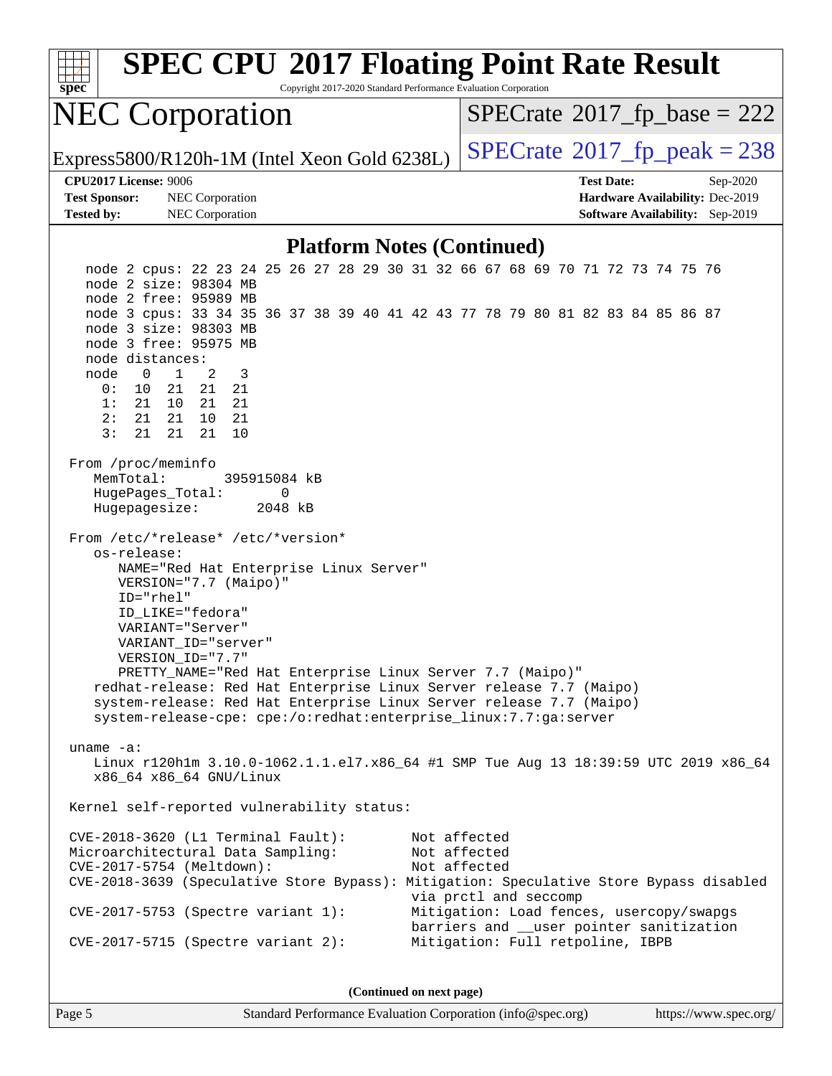| <b>SPEC CPU®2017 Floating Point Rate Result</b><br>Copyright 2017-2020 Standard Performance Evaluation Corporation<br>spec                                                                                                                                                                                                                                                                                                                                                                                                                                                                                                  |                                                                                                                                                                                                   |  |  |  |
|-----------------------------------------------------------------------------------------------------------------------------------------------------------------------------------------------------------------------------------------------------------------------------------------------------------------------------------------------------------------------------------------------------------------------------------------------------------------------------------------------------------------------------------------------------------------------------------------------------------------------------|---------------------------------------------------------------------------------------------------------------------------------------------------------------------------------------------------|--|--|--|
| <b>NEC Corporation</b>                                                                                                                                                                                                                                                                                                                                                                                                                                                                                                                                                                                                      | $SPECrate^{\circ}2017$ _fp_base = 222                                                                                                                                                             |  |  |  |
| Express5800/R120h-1M (Intel Xeon Gold 6238L)                                                                                                                                                                                                                                                                                                                                                                                                                                                                                                                                                                                | $SPECTate@2017fr peak = 238$                                                                                                                                                                      |  |  |  |
| <b>CPU2017 License: 9006</b>                                                                                                                                                                                                                                                                                                                                                                                                                                                                                                                                                                                                | <b>Test Date:</b><br>Sep-2020                                                                                                                                                                     |  |  |  |
| <b>Test Sponsor:</b><br>NEC Corporation<br>NEC Corporation<br><b>Tested by:</b>                                                                                                                                                                                                                                                                                                                                                                                                                                                                                                                                             | Hardware Availability: Dec-2019<br>Software Availability: Sep-2019                                                                                                                                |  |  |  |
| <b>Platform Notes (Continued)</b>                                                                                                                                                                                                                                                                                                                                                                                                                                                                                                                                                                                           |                                                                                                                                                                                                   |  |  |  |
| node 2 cpus: 22 23 24 25 26 27 28 29 30 31 32 66 67 68 69 70 71 72 73 74 75 76<br>node 2 size: 98304 MB<br>node 2 free: 95989 MB<br>node 3 cpus: 33 34 35 36 37 38 39 40 41 42 43 77 78 79 80 81 82 83 84 85 86 87<br>node 3 size: 98303 MB<br>node 3 free: 95975 MB<br>node distances:<br>$\mathbf{1}$<br>2<br>3<br>node<br>0<br>0:<br>10<br>21<br>21<br>21<br>21<br>1:<br>21<br>10<br>21<br>2:<br>21<br>21<br>10<br>21<br>3:<br>21<br>21<br>21<br>10                                                                                                                                                                      |                                                                                                                                                                                                   |  |  |  |
| From /proc/meminfo<br>MemTotal:<br>395915084 kB<br>HugePages_Total:<br>0<br>Hugepagesize:<br>2048 kB<br>From /etc/*release* /etc/*version*<br>os-release:<br>NAME="Red Hat Enterprise Linux Server"<br>VERSION="7.7 (Maipo)"<br>ID="rhel"<br>ID_LIKE="fedora"<br>VARIANT="Server"<br>VARIANT ID="server"<br>VERSION ID="7.7"<br>PRETTY_NAME="Red Hat Enterprise Linux Server 7.7 (Maipo)"<br>redhat-release: Red Hat Enterprise Linux Server release 7.7 (Maipo)<br>system-release: Red Hat Enterprise Linux Server release 7.7 (Maipo)<br>system-release-cpe: cpe:/o:redhat:enterprise_linux:7.7:ga:server<br>uname $-a$ : | Linux r120h1m 3.10.0-1062.1.1.el7.x86_64 #1 SMP Tue Aug 13 18:39:59 UTC 2019 x86_64                                                                                                               |  |  |  |
| x86 64 x86 64 GNU/Linux<br>Kernel self-reported vulnerability status:                                                                                                                                                                                                                                                                                                                                                                                                                                                                                                                                                       |                                                                                                                                                                                                   |  |  |  |
| CVE-2018-3620 (L1 Terminal Fault):<br>Microarchitectural Data Sampling:<br>CVE-2017-5754 (Meltdown):<br>CVE-2018-3639 (Speculative Store Bypass): Mitigation: Speculative Store Bypass disabled<br>$CVE-2017-5753$ (Spectre variant 1):<br>$CVE-2017-5715$ (Spectre variant 2):                                                                                                                                                                                                                                                                                                                                             | Not affected<br>Not affected<br>Not affected<br>via prctl and seccomp<br>Mitigation: Load fences, usercopy/swapgs<br>barriers and __user pointer sanitization<br>Mitigation: Full retpoline, IBPB |  |  |  |
| (Continued on next page)                                                                                                                                                                                                                                                                                                                                                                                                                                                                                                                                                                                                    |                                                                                                                                                                                                   |  |  |  |
|                                                                                                                                                                                                                                                                                                                                                                                                                                                                                                                                                                                                                             |                                                                                                                                                                                                   |  |  |  |

Page 5 Standard Performance Evaluation Corporation [\(info@spec.org\)](mailto:info@spec.org) <https://www.spec.org/>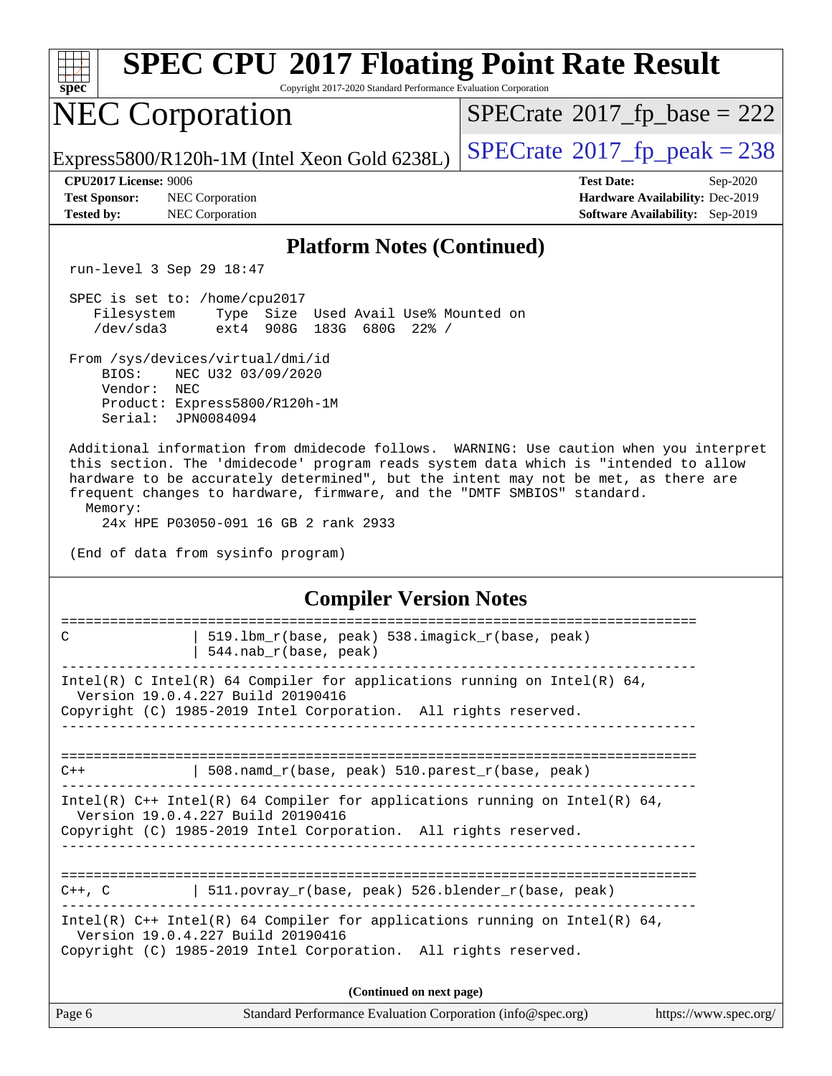|                                                                                                                                                                                                                                                                                                                                               | <b>SPEC CPU®2017 Floating Point Rate Result</b>                                        |
|-----------------------------------------------------------------------------------------------------------------------------------------------------------------------------------------------------------------------------------------------------------------------------------------------------------------------------------------------|----------------------------------------------------------------------------------------|
| spec                                                                                                                                                                                                                                                                                                                                          | Copyright 2017-2020 Standard Performance Evaluation Corporation                        |
| <b>NEC Corporation</b>                                                                                                                                                                                                                                                                                                                        | $SPECrate^{\circ}2017$ [p base = 222                                                   |
| Express5800/R120h-1M (Intel Xeon Gold 6238L)                                                                                                                                                                                                                                                                                                  | $SPECrate@2017_fp\_peak = 238$                                                         |
| <b>CPU2017 License: 9006</b>                                                                                                                                                                                                                                                                                                                  | <b>Test Date:</b><br>Sep-2020                                                          |
| <b>Test Sponsor:</b><br>NEC Corporation<br><b>Tested by:</b><br>NEC Corporation                                                                                                                                                                                                                                                               | Hardware Availability: Dec-2019<br><b>Software Availability:</b> Sep-2019              |
|                                                                                                                                                                                                                                                                                                                                               | <b>Platform Notes (Continued)</b>                                                      |
| run-level 3 Sep 29 18:47                                                                                                                                                                                                                                                                                                                      |                                                                                        |
| SPEC is set to: /home/cpu2017<br>Filesystem<br>Type Size Used Avail Use% Mounted on<br>ext4 908G 183G 680G 22% /<br>/dev/sda3                                                                                                                                                                                                                 |                                                                                        |
| From /sys/devices/virtual/dmi/id<br>BIOS:<br>NEC U32 03/09/2020<br>Vendor: NEC<br>Product: Express5800/R120h-1M<br>Serial: JPN0084094                                                                                                                                                                                                         |                                                                                        |
| this section. The 'dmidecode' program reads system data which is "intended to allow<br>hardware to be accurately determined", but the intent may not be met, as there are<br>frequent changes to hardware, firmware, and the "DMTF SMBIOS" standard.<br>Memory:<br>24x HPE P03050-091 16 GB 2 rank 2933<br>(End of data from sysinfo program) | Additional information from dmidecode follows. WARNING: Use caution when you interpret |
|                                                                                                                                                                                                                                                                                                                                               | <b>Compiler Version Notes</b>                                                          |
| 519.1bm_r(base, peak) 538.imagick_r(base, peak)<br>C<br>544.nab_r(base, peak)                                                                                                                                                                                                                                                                 |                                                                                        |
| Intel(R) C Intel(R) 64 Compiler for applications running on Intel(R) 64,<br>Version 19.0.4.227 Build 20190416<br>Copyright (C) 1985-2019 Intel Corporation. All rights reserved.                                                                                                                                                              |                                                                                        |
| 508.namd_r(base, peak) 510.parest_r(base, peak)<br>$C++$                                                                                                                                                                                                                                                                                      |                                                                                        |
| Intel(R) $C++$ Intel(R) 64 Compiler for applications running on Intel(R) 64,<br>Version 19.0.4.227 Build 20190416<br>Copyright (C) 1985-2019 Intel Corporation. All rights reserved.                                                                                                                                                          |                                                                                        |
| C++, C $\vert$ 511.povray_r(base, peak) 526.blender_r(base, peak)                                                                                                                                                                                                                                                                             |                                                                                        |
| Intel(R) $C++$ Intel(R) 64 Compiler for applications running on Intel(R) 64,<br>Version 19.0.4.227 Build 20190416<br>Copyright (C) 1985-2019 Intel Corporation. All rights reserved.                                                                                                                                                          |                                                                                        |
|                                                                                                                                                                                                                                                                                                                                               | (Continued on next page)                                                               |
| Page 6                                                                                                                                                                                                                                                                                                                                        | Standard Performance Evaluation Corporation (info@spec.org)<br>https://www.spec.org/   |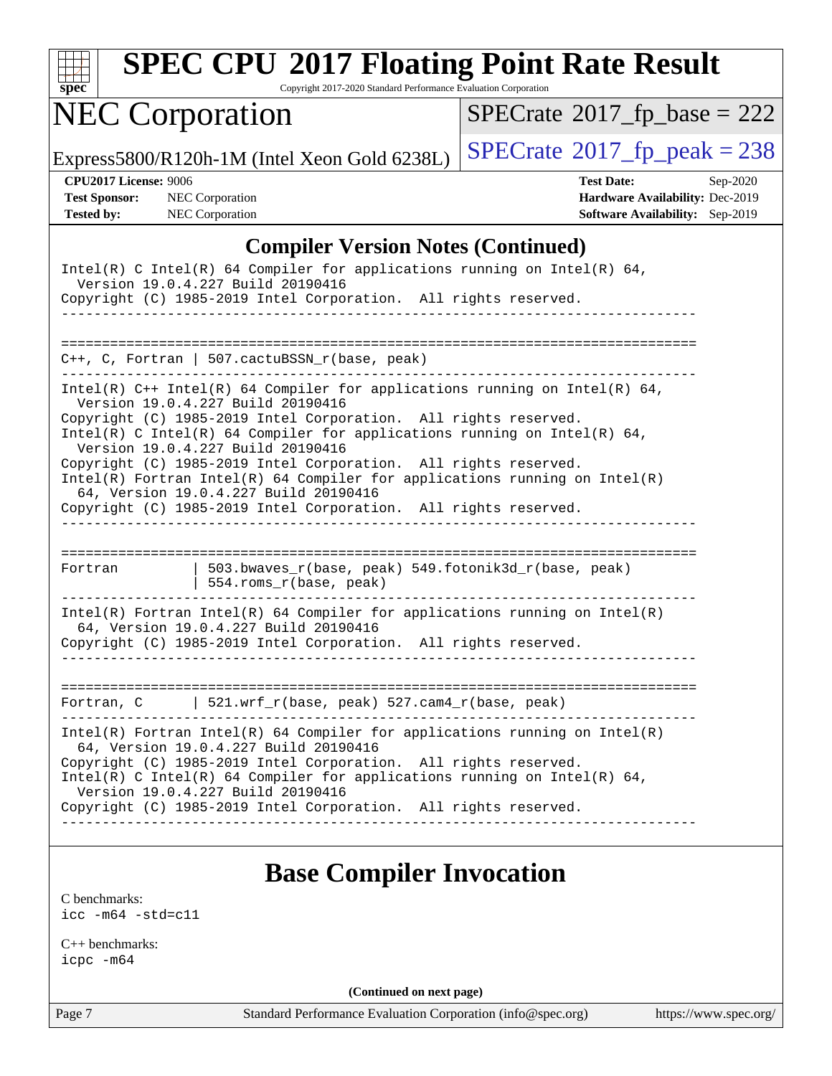| spe<br>U |  |  |  |  |  |
|----------|--|--|--|--|--|

Copyright 2017-2020 Standard Performance Evaluation Corporation

# NEC Corporation

 $SPECrate$ <sup>®</sup>[2017\\_fp\\_base =](http://www.spec.org/auto/cpu2017/Docs/result-fields.html#SPECrate2017fpbase) 222

Express5800/R120h-1M (Intel Xeon Gold 6238L)  $\left|$  [SPECrate](http://www.spec.org/auto/cpu2017/Docs/result-fields.html#SPECrate2017fppeak)<sup>®</sup>[2017\\_fp\\_peak = 2](http://www.spec.org/auto/cpu2017/Docs/result-fields.html#SPECrate2017fppeak)38

**[CPU2017 License:](http://www.spec.org/auto/cpu2017/Docs/result-fields.html#CPU2017License)** 9006 **[Test Date:](http://www.spec.org/auto/cpu2017/Docs/result-fields.html#TestDate)** Sep-2020 **[Test Sponsor:](http://www.spec.org/auto/cpu2017/Docs/result-fields.html#TestSponsor)** NEC Corporation **[Hardware Availability:](http://www.spec.org/auto/cpu2017/Docs/result-fields.html#HardwareAvailability)** Dec-2019 **[Tested by:](http://www.spec.org/auto/cpu2017/Docs/result-fields.html#Testedby)** NEC Corporation **[Software Availability:](http://www.spec.org/auto/cpu2017/Docs/result-fields.html#SoftwareAvailability)** Sep-2019

#### **[Compiler Version Notes \(Continued\)](http://www.spec.org/auto/cpu2017/Docs/result-fields.html#CompilerVersionNotes)**

| Intel(R) C Intel(R) 64 Compiler for applications running on Intel(R) 64,<br>Version 19.0.4.227 Build 20190416<br>Copyright (C) 1985-2019 Intel Corporation. All rights reserved.         |                                                                                                                                                                                                                                                                                                                                                                                                                         |  |  |  |  |
|------------------------------------------------------------------------------------------------------------------------------------------------------------------------------------------|-------------------------------------------------------------------------------------------------------------------------------------------------------------------------------------------------------------------------------------------------------------------------------------------------------------------------------------------------------------------------------------------------------------------------|--|--|--|--|
|                                                                                                                                                                                          | $C_{++}$ , C, Fortran   507.cactuBSSN_r(base, peak)                                                                                                                                                                                                                                                                                                                                                                     |  |  |  |  |
|                                                                                                                                                                                          |                                                                                                                                                                                                                                                                                                                                                                                                                         |  |  |  |  |
| Version 19.0.4.227 Build 20190416<br>Version 19.0.4.227 Build 20190416                                                                                                                   | Intel(R) $C++$ Intel(R) 64 Compiler for applications running on Intel(R) 64,<br>Copyright (C) 1985-2019 Intel Corporation. All rights reserved.<br>Intel(R) C Intel(R) 64 Compiler for applications running on Intel(R) 64,<br>Copyright (C) 1985-2019 Intel Corporation. All rights reserved.<br>$Intel(R)$ Fortran Intel(R) 64 Compiler for applications running on Intel(R)<br>64, Version 19.0.4.227 Build 20190416 |  |  |  |  |
|                                                                                                                                                                                          | Copyright (C) 1985-2019 Intel Corporation. All rights reserved.                                                                                                                                                                                                                                                                                                                                                         |  |  |  |  |
| Fortran                                                                                                                                                                                  | 503.bwaves_r(base, peak) 549.fotonik3d_r(base, peak)<br>554.roms_r(base, peak)                                                                                                                                                                                                                                                                                                                                          |  |  |  |  |
| $Intel(R)$ Fortran Intel(R) 64 Compiler for applications running on Intel(R)<br>64, Version 19.0.4.227 Build 20190416<br>Copyright (C) 1985-2019 Intel Corporation. All rights reserved. |                                                                                                                                                                                                                                                                                                                                                                                                                         |  |  |  |  |
|                                                                                                                                                                                          | Fortran, $C$   521.wrf_r(base, peak) 527.cam4_r(base, peak)                                                                                                                                                                                                                                                                                                                                                             |  |  |  |  |
| Version 19.0.4.227 Build 20190416                                                                                                                                                        | $Intel(R)$ Fortran Intel(R) 64 Compiler for applications running on Intel(R)<br>64, Version 19.0.4.227 Build 20190416<br>Copyright (C) 1985-2019 Intel Corporation. All rights reserved.<br>Intel(R) C Intel(R) 64 Compiler for applications running on Intel(R) 64,<br>Copyright (C) 1985-2019 Intel Corporation. All rights reserved.                                                                                 |  |  |  |  |

### **[Base Compiler Invocation](http://www.spec.org/auto/cpu2017/Docs/result-fields.html#BaseCompilerInvocation)**

[C benchmarks](http://www.spec.org/auto/cpu2017/Docs/result-fields.html#Cbenchmarks): [icc -m64 -std=c11](http://www.spec.org/cpu2017/results/res2020q4/cpu2017-20201012-24171.flags.html#user_CCbase_intel_icc_64bit_c11_33ee0cdaae7deeeab2a9725423ba97205ce30f63b9926c2519791662299b76a0318f32ddfffdc46587804de3178b4f9328c46fa7c2b0cd779d7a61945c91cd35)

[C++ benchmarks:](http://www.spec.org/auto/cpu2017/Docs/result-fields.html#CXXbenchmarks) [icpc -m64](http://www.spec.org/cpu2017/results/res2020q4/cpu2017-20201012-24171.flags.html#user_CXXbase_intel_icpc_64bit_4ecb2543ae3f1412ef961e0650ca070fec7b7afdcd6ed48761b84423119d1bf6bdf5cad15b44d48e7256388bc77273b966e5eb805aefd121eb22e9299b2ec9d9)

**(Continued on next page)**

Page 7 Standard Performance Evaluation Corporation [\(info@spec.org\)](mailto:info@spec.org) <https://www.spec.org/>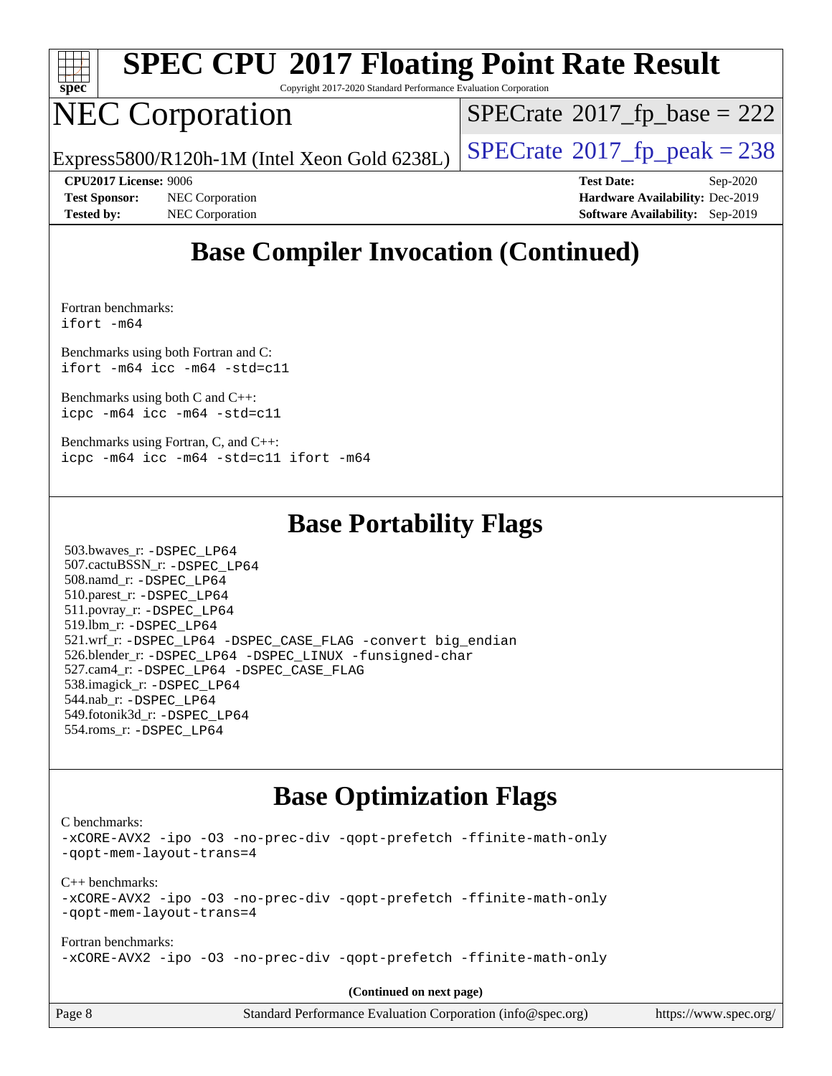

Copyright 2017-2020 Standard Performance Evaluation Corporation

## NEC Corporation

 $SPECTate$ <sup>®</sup>[2017\\_fp\\_base =](http://www.spec.org/auto/cpu2017/Docs/result-fields.html#SPECrate2017fpbase) 222

Express5800/R120h-1M (Intel Xeon Gold 6238L)  $\vert$  [SPECrate](http://www.spec.org/auto/cpu2017/Docs/result-fields.html#SPECrate2017fppeak)®[2017\\_fp\\_peak = 2](http://www.spec.org/auto/cpu2017/Docs/result-fields.html#SPECrate2017fppeak)38

**[Test Sponsor:](http://www.spec.org/auto/cpu2017/Docs/result-fields.html#TestSponsor)** NEC Corporation **[Hardware Availability:](http://www.spec.org/auto/cpu2017/Docs/result-fields.html#HardwareAvailability)** Dec-2019 **[Tested by:](http://www.spec.org/auto/cpu2017/Docs/result-fields.html#Testedby)** NEC Corporation **[Software Availability:](http://www.spec.org/auto/cpu2017/Docs/result-fields.html#SoftwareAvailability)** Sep-2019

**[CPU2017 License:](http://www.spec.org/auto/cpu2017/Docs/result-fields.html#CPU2017License)** 9006 **[Test Date:](http://www.spec.org/auto/cpu2017/Docs/result-fields.html#TestDate)** Sep-2020

### **[Base Compiler Invocation \(Continued\)](http://www.spec.org/auto/cpu2017/Docs/result-fields.html#BaseCompilerInvocation)**

[Fortran benchmarks](http://www.spec.org/auto/cpu2017/Docs/result-fields.html#Fortranbenchmarks): [ifort -m64](http://www.spec.org/cpu2017/results/res2020q4/cpu2017-20201012-24171.flags.html#user_FCbase_intel_ifort_64bit_24f2bb282fbaeffd6157abe4f878425411749daecae9a33200eee2bee2fe76f3b89351d69a8130dd5949958ce389cf37ff59a95e7a40d588e8d3a57e0c3fd751)

[Benchmarks using both Fortran and C](http://www.spec.org/auto/cpu2017/Docs/result-fields.html#BenchmarksusingbothFortranandC): [ifort -m64](http://www.spec.org/cpu2017/results/res2020q4/cpu2017-20201012-24171.flags.html#user_CC_FCbase_intel_ifort_64bit_24f2bb282fbaeffd6157abe4f878425411749daecae9a33200eee2bee2fe76f3b89351d69a8130dd5949958ce389cf37ff59a95e7a40d588e8d3a57e0c3fd751) [icc -m64 -std=c11](http://www.spec.org/cpu2017/results/res2020q4/cpu2017-20201012-24171.flags.html#user_CC_FCbase_intel_icc_64bit_c11_33ee0cdaae7deeeab2a9725423ba97205ce30f63b9926c2519791662299b76a0318f32ddfffdc46587804de3178b4f9328c46fa7c2b0cd779d7a61945c91cd35)

[Benchmarks using both C and C++](http://www.spec.org/auto/cpu2017/Docs/result-fields.html#BenchmarksusingbothCandCXX): [icpc -m64](http://www.spec.org/cpu2017/results/res2020q4/cpu2017-20201012-24171.flags.html#user_CC_CXXbase_intel_icpc_64bit_4ecb2543ae3f1412ef961e0650ca070fec7b7afdcd6ed48761b84423119d1bf6bdf5cad15b44d48e7256388bc77273b966e5eb805aefd121eb22e9299b2ec9d9) [icc -m64 -std=c11](http://www.spec.org/cpu2017/results/res2020q4/cpu2017-20201012-24171.flags.html#user_CC_CXXbase_intel_icc_64bit_c11_33ee0cdaae7deeeab2a9725423ba97205ce30f63b9926c2519791662299b76a0318f32ddfffdc46587804de3178b4f9328c46fa7c2b0cd779d7a61945c91cd35)

[Benchmarks using Fortran, C, and C++:](http://www.spec.org/auto/cpu2017/Docs/result-fields.html#BenchmarksusingFortranCandCXX) [icpc -m64](http://www.spec.org/cpu2017/results/res2020q4/cpu2017-20201012-24171.flags.html#user_CC_CXX_FCbase_intel_icpc_64bit_4ecb2543ae3f1412ef961e0650ca070fec7b7afdcd6ed48761b84423119d1bf6bdf5cad15b44d48e7256388bc77273b966e5eb805aefd121eb22e9299b2ec9d9) [icc -m64 -std=c11](http://www.spec.org/cpu2017/results/res2020q4/cpu2017-20201012-24171.flags.html#user_CC_CXX_FCbase_intel_icc_64bit_c11_33ee0cdaae7deeeab2a9725423ba97205ce30f63b9926c2519791662299b76a0318f32ddfffdc46587804de3178b4f9328c46fa7c2b0cd779d7a61945c91cd35) [ifort -m64](http://www.spec.org/cpu2017/results/res2020q4/cpu2017-20201012-24171.flags.html#user_CC_CXX_FCbase_intel_ifort_64bit_24f2bb282fbaeffd6157abe4f878425411749daecae9a33200eee2bee2fe76f3b89351d69a8130dd5949958ce389cf37ff59a95e7a40d588e8d3a57e0c3fd751)

#### **[Base Portability Flags](http://www.spec.org/auto/cpu2017/Docs/result-fields.html#BasePortabilityFlags)**

 503.bwaves\_r: [-DSPEC\\_LP64](http://www.spec.org/cpu2017/results/res2020q4/cpu2017-20201012-24171.flags.html#suite_basePORTABILITY503_bwaves_r_DSPEC_LP64) 507.cactuBSSN\_r: [-DSPEC\\_LP64](http://www.spec.org/cpu2017/results/res2020q4/cpu2017-20201012-24171.flags.html#suite_basePORTABILITY507_cactuBSSN_r_DSPEC_LP64) 508.namd\_r: [-DSPEC\\_LP64](http://www.spec.org/cpu2017/results/res2020q4/cpu2017-20201012-24171.flags.html#suite_basePORTABILITY508_namd_r_DSPEC_LP64) 510.parest\_r: [-DSPEC\\_LP64](http://www.spec.org/cpu2017/results/res2020q4/cpu2017-20201012-24171.flags.html#suite_basePORTABILITY510_parest_r_DSPEC_LP64) 511.povray\_r: [-DSPEC\\_LP64](http://www.spec.org/cpu2017/results/res2020q4/cpu2017-20201012-24171.flags.html#suite_basePORTABILITY511_povray_r_DSPEC_LP64) 519.lbm\_r: [-DSPEC\\_LP64](http://www.spec.org/cpu2017/results/res2020q4/cpu2017-20201012-24171.flags.html#suite_basePORTABILITY519_lbm_r_DSPEC_LP64) 521.wrf\_r: [-DSPEC\\_LP64](http://www.spec.org/cpu2017/results/res2020q4/cpu2017-20201012-24171.flags.html#suite_basePORTABILITY521_wrf_r_DSPEC_LP64) [-DSPEC\\_CASE\\_FLAG](http://www.spec.org/cpu2017/results/res2020q4/cpu2017-20201012-24171.flags.html#b521.wrf_r_baseCPORTABILITY_DSPEC_CASE_FLAG) [-convert big\\_endian](http://www.spec.org/cpu2017/results/res2020q4/cpu2017-20201012-24171.flags.html#user_baseFPORTABILITY521_wrf_r_convert_big_endian_c3194028bc08c63ac5d04de18c48ce6d347e4e562e8892b8bdbdc0214820426deb8554edfa529a3fb25a586e65a3d812c835984020483e7e73212c4d31a38223) 526.blender\_r: [-DSPEC\\_LP64](http://www.spec.org/cpu2017/results/res2020q4/cpu2017-20201012-24171.flags.html#suite_basePORTABILITY526_blender_r_DSPEC_LP64) [-DSPEC\\_LINUX](http://www.spec.org/cpu2017/results/res2020q4/cpu2017-20201012-24171.flags.html#b526.blender_r_baseCPORTABILITY_DSPEC_LINUX) [-funsigned-char](http://www.spec.org/cpu2017/results/res2020q4/cpu2017-20201012-24171.flags.html#user_baseCPORTABILITY526_blender_r_force_uchar_40c60f00ab013830e2dd6774aeded3ff59883ba5a1fc5fc14077f794d777847726e2a5858cbc7672e36e1b067e7e5c1d9a74f7176df07886a243d7cc18edfe67) 527.cam4\_r: [-DSPEC\\_LP64](http://www.spec.org/cpu2017/results/res2020q4/cpu2017-20201012-24171.flags.html#suite_basePORTABILITY527_cam4_r_DSPEC_LP64) [-DSPEC\\_CASE\\_FLAG](http://www.spec.org/cpu2017/results/res2020q4/cpu2017-20201012-24171.flags.html#b527.cam4_r_baseCPORTABILITY_DSPEC_CASE_FLAG) 538.imagick\_r: [-DSPEC\\_LP64](http://www.spec.org/cpu2017/results/res2020q4/cpu2017-20201012-24171.flags.html#suite_basePORTABILITY538_imagick_r_DSPEC_LP64) 544.nab\_r: [-DSPEC\\_LP64](http://www.spec.org/cpu2017/results/res2020q4/cpu2017-20201012-24171.flags.html#suite_basePORTABILITY544_nab_r_DSPEC_LP64) 549.fotonik3d\_r: [-DSPEC\\_LP64](http://www.spec.org/cpu2017/results/res2020q4/cpu2017-20201012-24171.flags.html#suite_basePORTABILITY549_fotonik3d_r_DSPEC_LP64) 554.roms\_r: [-DSPEC\\_LP64](http://www.spec.org/cpu2017/results/res2020q4/cpu2017-20201012-24171.flags.html#suite_basePORTABILITY554_roms_r_DSPEC_LP64)

### **[Base Optimization Flags](http://www.spec.org/auto/cpu2017/Docs/result-fields.html#BaseOptimizationFlags)**

[C benchmarks](http://www.spec.org/auto/cpu2017/Docs/result-fields.html#Cbenchmarks):

[-xCORE-AVX2](http://www.spec.org/cpu2017/results/res2020q4/cpu2017-20201012-24171.flags.html#user_CCbase_f-xCORE-AVX2) [-ipo](http://www.spec.org/cpu2017/results/res2020q4/cpu2017-20201012-24171.flags.html#user_CCbase_f-ipo) [-O3](http://www.spec.org/cpu2017/results/res2020q4/cpu2017-20201012-24171.flags.html#user_CCbase_f-O3) [-no-prec-div](http://www.spec.org/cpu2017/results/res2020q4/cpu2017-20201012-24171.flags.html#user_CCbase_f-no-prec-div) [-qopt-prefetch](http://www.spec.org/cpu2017/results/res2020q4/cpu2017-20201012-24171.flags.html#user_CCbase_f-qopt-prefetch) [-ffinite-math-only](http://www.spec.org/cpu2017/results/res2020q4/cpu2017-20201012-24171.flags.html#user_CCbase_f_finite_math_only_cb91587bd2077682c4b38af759c288ed7c732db004271a9512da14a4f8007909a5f1427ecbf1a0fb78ff2a814402c6114ac565ca162485bbcae155b5e4258871) [-qopt-mem-layout-trans=4](http://www.spec.org/cpu2017/results/res2020q4/cpu2017-20201012-24171.flags.html#user_CCbase_f-qopt-mem-layout-trans_fa39e755916c150a61361b7846f310bcdf6f04e385ef281cadf3647acec3f0ae266d1a1d22d972a7087a248fd4e6ca390a3634700869573d231a252c784941a8) [C++ benchmarks:](http://www.spec.org/auto/cpu2017/Docs/result-fields.html#CXXbenchmarks) [-xCORE-AVX2](http://www.spec.org/cpu2017/results/res2020q4/cpu2017-20201012-24171.flags.html#user_CXXbase_f-xCORE-AVX2) [-ipo](http://www.spec.org/cpu2017/results/res2020q4/cpu2017-20201012-24171.flags.html#user_CXXbase_f-ipo) [-O3](http://www.spec.org/cpu2017/results/res2020q4/cpu2017-20201012-24171.flags.html#user_CXXbase_f-O3) [-no-prec-div](http://www.spec.org/cpu2017/results/res2020q4/cpu2017-20201012-24171.flags.html#user_CXXbase_f-no-prec-div) [-qopt-prefetch](http://www.spec.org/cpu2017/results/res2020q4/cpu2017-20201012-24171.flags.html#user_CXXbase_f-qopt-prefetch) [-ffinite-math-only](http://www.spec.org/cpu2017/results/res2020q4/cpu2017-20201012-24171.flags.html#user_CXXbase_f_finite_math_only_cb91587bd2077682c4b38af759c288ed7c732db004271a9512da14a4f8007909a5f1427ecbf1a0fb78ff2a814402c6114ac565ca162485bbcae155b5e4258871) [-qopt-mem-layout-trans=4](http://www.spec.org/cpu2017/results/res2020q4/cpu2017-20201012-24171.flags.html#user_CXXbase_f-qopt-mem-layout-trans_fa39e755916c150a61361b7846f310bcdf6f04e385ef281cadf3647acec3f0ae266d1a1d22d972a7087a248fd4e6ca390a3634700869573d231a252c784941a8) [Fortran benchmarks](http://www.spec.org/auto/cpu2017/Docs/result-fields.html#Fortranbenchmarks): [-xCORE-AVX2](http://www.spec.org/cpu2017/results/res2020q4/cpu2017-20201012-24171.flags.html#user_FCbase_f-xCORE-AVX2) [-ipo](http://www.spec.org/cpu2017/results/res2020q4/cpu2017-20201012-24171.flags.html#user_FCbase_f-ipo) [-O3](http://www.spec.org/cpu2017/results/res2020q4/cpu2017-20201012-24171.flags.html#user_FCbase_f-O3) [-no-prec-div](http://www.spec.org/cpu2017/results/res2020q4/cpu2017-20201012-24171.flags.html#user_FCbase_f-no-prec-div) [-qopt-prefetch](http://www.spec.org/cpu2017/results/res2020q4/cpu2017-20201012-24171.flags.html#user_FCbase_f-qopt-prefetch) [-ffinite-math-only](http://www.spec.org/cpu2017/results/res2020q4/cpu2017-20201012-24171.flags.html#user_FCbase_f_finite_math_only_cb91587bd2077682c4b38af759c288ed7c732db004271a9512da14a4f8007909a5f1427ecbf1a0fb78ff2a814402c6114ac565ca162485bbcae155b5e4258871)

**(Continued on next page)**

| Page 8 | Standard Performance Evaluation Corporation (info@spec.org) | https://www.spec.org/ |
|--------|-------------------------------------------------------------|-----------------------|
|--------|-------------------------------------------------------------|-----------------------|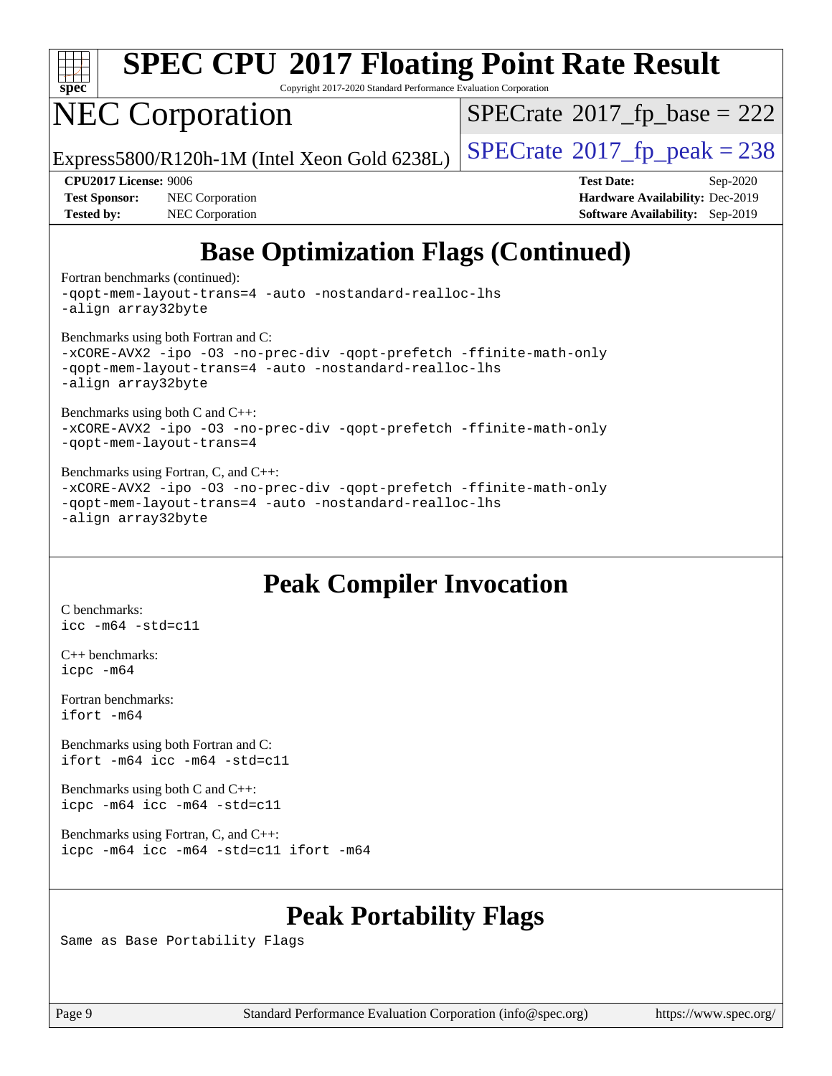

Copyright 2017-2020 Standard Performance Evaluation Corporation

## NEC Corporation

 $SPECTate$ <sup>®</sup>[2017\\_fp\\_base =](http://www.spec.org/auto/cpu2017/Docs/result-fields.html#SPECrate2017fpbase) 222

Express5800/R120h-1M (Intel Xeon Gold 6238L)  $\vert$  [SPECrate](http://www.spec.org/auto/cpu2017/Docs/result-fields.html#SPECrate2017fppeak)®[2017\\_fp\\_peak = 2](http://www.spec.org/auto/cpu2017/Docs/result-fields.html#SPECrate2017fppeak)38

**[Test Sponsor:](http://www.spec.org/auto/cpu2017/Docs/result-fields.html#TestSponsor)** NEC Corporation **[Hardware Availability:](http://www.spec.org/auto/cpu2017/Docs/result-fields.html#HardwareAvailability)** Dec-2019 **[Tested by:](http://www.spec.org/auto/cpu2017/Docs/result-fields.html#Testedby)** NEC Corporation **[Software Availability:](http://www.spec.org/auto/cpu2017/Docs/result-fields.html#SoftwareAvailability)** Sep-2019

**[CPU2017 License:](http://www.spec.org/auto/cpu2017/Docs/result-fields.html#CPU2017License)** 9006 **[Test Date:](http://www.spec.org/auto/cpu2017/Docs/result-fields.html#TestDate)** Sep-2020

## **[Base Optimization Flags \(Continued\)](http://www.spec.org/auto/cpu2017/Docs/result-fields.html#BaseOptimizationFlags)**

[Fortran benchmarks](http://www.spec.org/auto/cpu2017/Docs/result-fields.html#Fortranbenchmarks) (continued):

[-qopt-mem-layout-trans=4](http://www.spec.org/cpu2017/results/res2020q4/cpu2017-20201012-24171.flags.html#user_FCbase_f-qopt-mem-layout-trans_fa39e755916c150a61361b7846f310bcdf6f04e385ef281cadf3647acec3f0ae266d1a1d22d972a7087a248fd4e6ca390a3634700869573d231a252c784941a8) [-auto](http://www.spec.org/cpu2017/results/res2020q4/cpu2017-20201012-24171.flags.html#user_FCbase_f-auto) [-nostandard-realloc-lhs](http://www.spec.org/cpu2017/results/res2020q4/cpu2017-20201012-24171.flags.html#user_FCbase_f_2003_std_realloc_82b4557e90729c0f113870c07e44d33d6f5a304b4f63d4c15d2d0f1fab99f5daaed73bdb9275d9ae411527f28b936061aa8b9c8f2d63842963b95c9dd6426b8a) [-align array32byte](http://www.spec.org/cpu2017/results/res2020q4/cpu2017-20201012-24171.flags.html#user_FCbase_align_array32byte_b982fe038af199962ba9a80c053b8342c548c85b40b8e86eb3cc33dee0d7986a4af373ac2d51c3f7cf710a18d62fdce2948f201cd044323541f22fc0fffc51b6)

[Benchmarks using both Fortran and C](http://www.spec.org/auto/cpu2017/Docs/result-fields.html#BenchmarksusingbothFortranandC):

[-xCORE-AVX2](http://www.spec.org/cpu2017/results/res2020q4/cpu2017-20201012-24171.flags.html#user_CC_FCbase_f-xCORE-AVX2) [-ipo](http://www.spec.org/cpu2017/results/res2020q4/cpu2017-20201012-24171.flags.html#user_CC_FCbase_f-ipo) [-O3](http://www.spec.org/cpu2017/results/res2020q4/cpu2017-20201012-24171.flags.html#user_CC_FCbase_f-O3) [-no-prec-div](http://www.spec.org/cpu2017/results/res2020q4/cpu2017-20201012-24171.flags.html#user_CC_FCbase_f-no-prec-div) [-qopt-prefetch](http://www.spec.org/cpu2017/results/res2020q4/cpu2017-20201012-24171.flags.html#user_CC_FCbase_f-qopt-prefetch) [-ffinite-math-only](http://www.spec.org/cpu2017/results/res2020q4/cpu2017-20201012-24171.flags.html#user_CC_FCbase_f_finite_math_only_cb91587bd2077682c4b38af759c288ed7c732db004271a9512da14a4f8007909a5f1427ecbf1a0fb78ff2a814402c6114ac565ca162485bbcae155b5e4258871) [-qopt-mem-layout-trans=4](http://www.spec.org/cpu2017/results/res2020q4/cpu2017-20201012-24171.flags.html#user_CC_FCbase_f-qopt-mem-layout-trans_fa39e755916c150a61361b7846f310bcdf6f04e385ef281cadf3647acec3f0ae266d1a1d22d972a7087a248fd4e6ca390a3634700869573d231a252c784941a8) [-auto](http://www.spec.org/cpu2017/results/res2020q4/cpu2017-20201012-24171.flags.html#user_CC_FCbase_f-auto) [-nostandard-realloc-lhs](http://www.spec.org/cpu2017/results/res2020q4/cpu2017-20201012-24171.flags.html#user_CC_FCbase_f_2003_std_realloc_82b4557e90729c0f113870c07e44d33d6f5a304b4f63d4c15d2d0f1fab99f5daaed73bdb9275d9ae411527f28b936061aa8b9c8f2d63842963b95c9dd6426b8a) [-align array32byte](http://www.spec.org/cpu2017/results/res2020q4/cpu2017-20201012-24171.flags.html#user_CC_FCbase_align_array32byte_b982fe038af199962ba9a80c053b8342c548c85b40b8e86eb3cc33dee0d7986a4af373ac2d51c3f7cf710a18d62fdce2948f201cd044323541f22fc0fffc51b6)

[Benchmarks using both C and C++](http://www.spec.org/auto/cpu2017/Docs/result-fields.html#BenchmarksusingbothCandCXX):

[-xCORE-AVX2](http://www.spec.org/cpu2017/results/res2020q4/cpu2017-20201012-24171.flags.html#user_CC_CXXbase_f-xCORE-AVX2) [-ipo](http://www.spec.org/cpu2017/results/res2020q4/cpu2017-20201012-24171.flags.html#user_CC_CXXbase_f-ipo) [-O3](http://www.spec.org/cpu2017/results/res2020q4/cpu2017-20201012-24171.flags.html#user_CC_CXXbase_f-O3) [-no-prec-div](http://www.spec.org/cpu2017/results/res2020q4/cpu2017-20201012-24171.flags.html#user_CC_CXXbase_f-no-prec-div) [-qopt-prefetch](http://www.spec.org/cpu2017/results/res2020q4/cpu2017-20201012-24171.flags.html#user_CC_CXXbase_f-qopt-prefetch) [-ffinite-math-only](http://www.spec.org/cpu2017/results/res2020q4/cpu2017-20201012-24171.flags.html#user_CC_CXXbase_f_finite_math_only_cb91587bd2077682c4b38af759c288ed7c732db004271a9512da14a4f8007909a5f1427ecbf1a0fb78ff2a814402c6114ac565ca162485bbcae155b5e4258871) [-qopt-mem-layout-trans=4](http://www.spec.org/cpu2017/results/res2020q4/cpu2017-20201012-24171.flags.html#user_CC_CXXbase_f-qopt-mem-layout-trans_fa39e755916c150a61361b7846f310bcdf6f04e385ef281cadf3647acec3f0ae266d1a1d22d972a7087a248fd4e6ca390a3634700869573d231a252c784941a8)

#### [Benchmarks using Fortran, C, and C++:](http://www.spec.org/auto/cpu2017/Docs/result-fields.html#BenchmarksusingFortranCandCXX)

[-xCORE-AVX2](http://www.spec.org/cpu2017/results/res2020q4/cpu2017-20201012-24171.flags.html#user_CC_CXX_FCbase_f-xCORE-AVX2) [-ipo](http://www.spec.org/cpu2017/results/res2020q4/cpu2017-20201012-24171.flags.html#user_CC_CXX_FCbase_f-ipo) [-O3](http://www.spec.org/cpu2017/results/res2020q4/cpu2017-20201012-24171.flags.html#user_CC_CXX_FCbase_f-O3) [-no-prec-div](http://www.spec.org/cpu2017/results/res2020q4/cpu2017-20201012-24171.flags.html#user_CC_CXX_FCbase_f-no-prec-div) [-qopt-prefetch](http://www.spec.org/cpu2017/results/res2020q4/cpu2017-20201012-24171.flags.html#user_CC_CXX_FCbase_f-qopt-prefetch) [-ffinite-math-only](http://www.spec.org/cpu2017/results/res2020q4/cpu2017-20201012-24171.flags.html#user_CC_CXX_FCbase_f_finite_math_only_cb91587bd2077682c4b38af759c288ed7c732db004271a9512da14a4f8007909a5f1427ecbf1a0fb78ff2a814402c6114ac565ca162485bbcae155b5e4258871) [-qopt-mem-layout-trans=4](http://www.spec.org/cpu2017/results/res2020q4/cpu2017-20201012-24171.flags.html#user_CC_CXX_FCbase_f-qopt-mem-layout-trans_fa39e755916c150a61361b7846f310bcdf6f04e385ef281cadf3647acec3f0ae266d1a1d22d972a7087a248fd4e6ca390a3634700869573d231a252c784941a8) [-auto](http://www.spec.org/cpu2017/results/res2020q4/cpu2017-20201012-24171.flags.html#user_CC_CXX_FCbase_f-auto) [-nostandard-realloc-lhs](http://www.spec.org/cpu2017/results/res2020q4/cpu2017-20201012-24171.flags.html#user_CC_CXX_FCbase_f_2003_std_realloc_82b4557e90729c0f113870c07e44d33d6f5a304b4f63d4c15d2d0f1fab99f5daaed73bdb9275d9ae411527f28b936061aa8b9c8f2d63842963b95c9dd6426b8a) [-align array32byte](http://www.spec.org/cpu2017/results/res2020q4/cpu2017-20201012-24171.flags.html#user_CC_CXX_FCbase_align_array32byte_b982fe038af199962ba9a80c053b8342c548c85b40b8e86eb3cc33dee0d7986a4af373ac2d51c3f7cf710a18d62fdce2948f201cd044323541f22fc0fffc51b6)

### **[Peak Compiler Invocation](http://www.spec.org/auto/cpu2017/Docs/result-fields.html#PeakCompilerInvocation)**

[C benchmarks](http://www.spec.org/auto/cpu2017/Docs/result-fields.html#Cbenchmarks): [icc -m64 -std=c11](http://www.spec.org/cpu2017/results/res2020q4/cpu2017-20201012-24171.flags.html#user_CCpeak_intel_icc_64bit_c11_33ee0cdaae7deeeab2a9725423ba97205ce30f63b9926c2519791662299b76a0318f32ddfffdc46587804de3178b4f9328c46fa7c2b0cd779d7a61945c91cd35)

[C++ benchmarks:](http://www.spec.org/auto/cpu2017/Docs/result-fields.html#CXXbenchmarks) [icpc -m64](http://www.spec.org/cpu2017/results/res2020q4/cpu2017-20201012-24171.flags.html#user_CXXpeak_intel_icpc_64bit_4ecb2543ae3f1412ef961e0650ca070fec7b7afdcd6ed48761b84423119d1bf6bdf5cad15b44d48e7256388bc77273b966e5eb805aefd121eb22e9299b2ec9d9)

[Fortran benchmarks](http://www.spec.org/auto/cpu2017/Docs/result-fields.html#Fortranbenchmarks): [ifort -m64](http://www.spec.org/cpu2017/results/res2020q4/cpu2017-20201012-24171.flags.html#user_FCpeak_intel_ifort_64bit_24f2bb282fbaeffd6157abe4f878425411749daecae9a33200eee2bee2fe76f3b89351d69a8130dd5949958ce389cf37ff59a95e7a40d588e8d3a57e0c3fd751)

[Benchmarks using both Fortran and C](http://www.spec.org/auto/cpu2017/Docs/result-fields.html#BenchmarksusingbothFortranandC): [ifort -m64](http://www.spec.org/cpu2017/results/res2020q4/cpu2017-20201012-24171.flags.html#user_CC_FCpeak_intel_ifort_64bit_24f2bb282fbaeffd6157abe4f878425411749daecae9a33200eee2bee2fe76f3b89351d69a8130dd5949958ce389cf37ff59a95e7a40d588e8d3a57e0c3fd751) [icc -m64 -std=c11](http://www.spec.org/cpu2017/results/res2020q4/cpu2017-20201012-24171.flags.html#user_CC_FCpeak_intel_icc_64bit_c11_33ee0cdaae7deeeab2a9725423ba97205ce30f63b9926c2519791662299b76a0318f32ddfffdc46587804de3178b4f9328c46fa7c2b0cd779d7a61945c91cd35)

[Benchmarks using both C and C++](http://www.spec.org/auto/cpu2017/Docs/result-fields.html#BenchmarksusingbothCandCXX): [icpc -m64](http://www.spec.org/cpu2017/results/res2020q4/cpu2017-20201012-24171.flags.html#user_CC_CXXpeak_intel_icpc_64bit_4ecb2543ae3f1412ef961e0650ca070fec7b7afdcd6ed48761b84423119d1bf6bdf5cad15b44d48e7256388bc77273b966e5eb805aefd121eb22e9299b2ec9d9) [icc -m64 -std=c11](http://www.spec.org/cpu2017/results/res2020q4/cpu2017-20201012-24171.flags.html#user_CC_CXXpeak_intel_icc_64bit_c11_33ee0cdaae7deeeab2a9725423ba97205ce30f63b9926c2519791662299b76a0318f32ddfffdc46587804de3178b4f9328c46fa7c2b0cd779d7a61945c91cd35)

[Benchmarks using Fortran, C, and C++:](http://www.spec.org/auto/cpu2017/Docs/result-fields.html#BenchmarksusingFortranCandCXX) [icpc -m64](http://www.spec.org/cpu2017/results/res2020q4/cpu2017-20201012-24171.flags.html#user_CC_CXX_FCpeak_intel_icpc_64bit_4ecb2543ae3f1412ef961e0650ca070fec7b7afdcd6ed48761b84423119d1bf6bdf5cad15b44d48e7256388bc77273b966e5eb805aefd121eb22e9299b2ec9d9) [icc -m64 -std=c11](http://www.spec.org/cpu2017/results/res2020q4/cpu2017-20201012-24171.flags.html#user_CC_CXX_FCpeak_intel_icc_64bit_c11_33ee0cdaae7deeeab2a9725423ba97205ce30f63b9926c2519791662299b76a0318f32ddfffdc46587804de3178b4f9328c46fa7c2b0cd779d7a61945c91cd35) [ifort -m64](http://www.spec.org/cpu2017/results/res2020q4/cpu2017-20201012-24171.flags.html#user_CC_CXX_FCpeak_intel_ifort_64bit_24f2bb282fbaeffd6157abe4f878425411749daecae9a33200eee2bee2fe76f3b89351d69a8130dd5949958ce389cf37ff59a95e7a40d588e8d3a57e0c3fd751)

### **[Peak Portability Flags](http://www.spec.org/auto/cpu2017/Docs/result-fields.html#PeakPortabilityFlags)**

Same as Base Portability Flags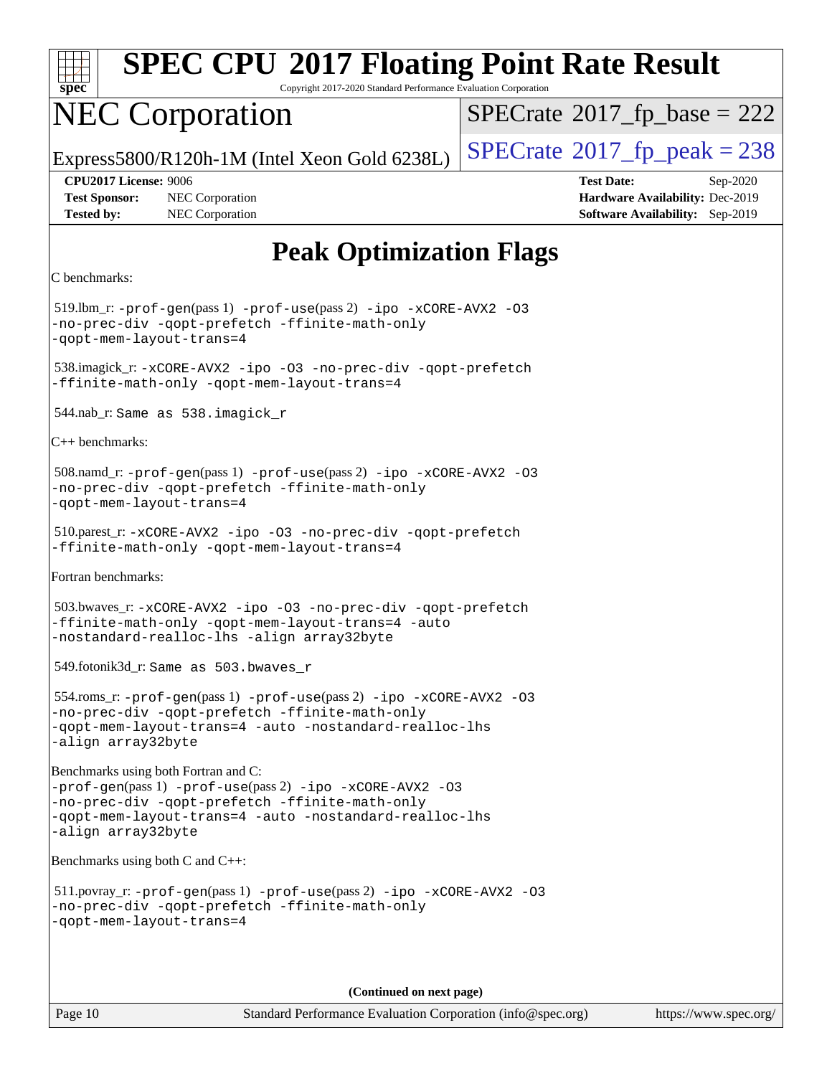| spe<br>U |  |  |  |  |  |
|----------|--|--|--|--|--|

Copyright 2017-2020 Standard Performance Evaluation Corporation

## NEC Corporation

 $SPECTate$ <sup>®</sup>[2017\\_fp\\_base =](http://www.spec.org/auto/cpu2017/Docs/result-fields.html#SPECrate2017fpbase) 222

Express5800/R120h-1M (Intel Xeon Gold 6238L)  $\vert$  [SPECrate](http://www.spec.org/auto/cpu2017/Docs/result-fields.html#SPECrate2017fppeak)®[2017\\_fp\\_peak = 2](http://www.spec.org/auto/cpu2017/Docs/result-fields.html#SPECrate2017fppeak)38

**[Test Sponsor:](http://www.spec.org/auto/cpu2017/Docs/result-fields.html#TestSponsor)** NEC Corporation **[Hardware Availability:](http://www.spec.org/auto/cpu2017/Docs/result-fields.html#HardwareAvailability)** Dec-2019 **[Tested by:](http://www.spec.org/auto/cpu2017/Docs/result-fields.html#Testedby)** NEC Corporation **[Software Availability:](http://www.spec.org/auto/cpu2017/Docs/result-fields.html#SoftwareAvailability)** Sep-2019

**[CPU2017 License:](http://www.spec.org/auto/cpu2017/Docs/result-fields.html#CPU2017License)** 9006 **[Test Date:](http://www.spec.org/auto/cpu2017/Docs/result-fields.html#TestDate)** Sep-2020

## **[Peak Optimization Flags](http://www.spec.org/auto/cpu2017/Docs/result-fields.html#PeakOptimizationFlags)**

```
C benchmarks:
```
519.lbm\_r:  $-prof-qen(pass 1) -prof-use(pass 2) -ipo -xCORE-AVX2 -O3$  $-prof-qen(pass 1) -prof-use(pass 2) -ipo -xCORE-AVX2 -O3$  $-prof-qen(pass 1) -prof-use(pass 2) -ipo -xCORE-AVX2 -O3$  $-prof-qen(pass 1) -prof-use(pass 2) -ipo -xCORE-AVX2 -O3$  $-prof-qen(pass 1) -prof-use(pass 2) -ipo -xCORE-AVX2 -O3$  $-prof-qen(pass 1) -prof-use(pass 2) -ipo -xCORE-AVX2 -O3$  $-prof-qen(pass 1) -prof-use(pass 2) -ipo -xCORE-AVX2 -O3$  $-prof-qen(pass 1) -prof-use(pass 2) -ipo -xCORE-AVX2 -O3$ [-no-prec-div](http://www.spec.org/cpu2017/results/res2020q4/cpu2017-20201012-24171.flags.html#user_peakPASS1_COPTIMIZEPASS2_COPTIMIZE519_lbm_r_f-no-prec-div) [-qopt-prefetch](http://www.spec.org/cpu2017/results/res2020q4/cpu2017-20201012-24171.flags.html#user_peakPASS1_COPTIMIZEPASS2_COPTIMIZE519_lbm_r_f-qopt-prefetch) [-ffinite-math-only](http://www.spec.org/cpu2017/results/res2020q4/cpu2017-20201012-24171.flags.html#user_peakPASS1_COPTIMIZEPASS2_COPTIMIZE519_lbm_r_f_finite_math_only_cb91587bd2077682c4b38af759c288ed7c732db004271a9512da14a4f8007909a5f1427ecbf1a0fb78ff2a814402c6114ac565ca162485bbcae155b5e4258871) [-qopt-mem-layout-trans=4](http://www.spec.org/cpu2017/results/res2020q4/cpu2017-20201012-24171.flags.html#user_peakPASS1_COPTIMIZEPASS2_COPTIMIZE519_lbm_r_f-qopt-mem-layout-trans_fa39e755916c150a61361b7846f310bcdf6f04e385ef281cadf3647acec3f0ae266d1a1d22d972a7087a248fd4e6ca390a3634700869573d231a252c784941a8) 538.imagick\_r: [-xCORE-AVX2](http://www.spec.org/cpu2017/results/res2020q4/cpu2017-20201012-24171.flags.html#user_peakCOPTIMIZE538_imagick_r_f-xCORE-AVX2) [-ipo](http://www.spec.org/cpu2017/results/res2020q4/cpu2017-20201012-24171.flags.html#user_peakCOPTIMIZE538_imagick_r_f-ipo) [-O3](http://www.spec.org/cpu2017/results/res2020q4/cpu2017-20201012-24171.flags.html#user_peakCOPTIMIZE538_imagick_r_f-O3) [-no-prec-div](http://www.spec.org/cpu2017/results/res2020q4/cpu2017-20201012-24171.flags.html#user_peakCOPTIMIZE538_imagick_r_f-no-prec-div) [-qopt-prefetch](http://www.spec.org/cpu2017/results/res2020q4/cpu2017-20201012-24171.flags.html#user_peakCOPTIMIZE538_imagick_r_f-qopt-prefetch) [-ffinite-math-only](http://www.spec.org/cpu2017/results/res2020q4/cpu2017-20201012-24171.flags.html#user_peakCOPTIMIZE538_imagick_r_f_finite_math_only_cb91587bd2077682c4b38af759c288ed7c732db004271a9512da14a4f8007909a5f1427ecbf1a0fb78ff2a814402c6114ac565ca162485bbcae155b5e4258871) [-qopt-mem-layout-trans=4](http://www.spec.org/cpu2017/results/res2020q4/cpu2017-20201012-24171.flags.html#user_peakCOPTIMIZE538_imagick_r_f-qopt-mem-layout-trans_fa39e755916c150a61361b7846f310bcdf6f04e385ef281cadf3647acec3f0ae266d1a1d22d972a7087a248fd4e6ca390a3634700869573d231a252c784941a8) 544.nab\_r: Same as 538.imagick\_r [C++ benchmarks](http://www.spec.org/auto/cpu2017/Docs/result-fields.html#CXXbenchmarks): 508.namd\_r: [-prof-gen](http://www.spec.org/cpu2017/results/res2020q4/cpu2017-20201012-24171.flags.html#user_peakPASS1_CXXFLAGSPASS1_LDFLAGS508_namd_r_prof_gen_5aa4926d6013ddb2a31985c654b3eb18169fc0c6952a63635c234f711e6e63dd76e94ad52365559451ec499a2cdb89e4dc58ba4c67ef54ca681ffbe1461d6b36)(pass 1) [-prof-use](http://www.spec.org/cpu2017/results/res2020q4/cpu2017-20201012-24171.flags.html#user_peakPASS2_CXXFLAGSPASS2_LDFLAGS508_namd_r_prof_use_1a21ceae95f36a2b53c25747139a6c16ca95bd9def2a207b4f0849963b97e94f5260e30a0c64f4bb623698870e679ca08317ef8150905d41bd88c6f78df73f19)(pass 2) [-ipo](http://www.spec.org/cpu2017/results/res2020q4/cpu2017-20201012-24171.flags.html#user_peakPASS1_CXXOPTIMIZEPASS2_CXXOPTIMIZE508_namd_r_f-ipo) [-xCORE-AVX2](http://www.spec.org/cpu2017/results/res2020q4/cpu2017-20201012-24171.flags.html#user_peakPASS2_CXXOPTIMIZE508_namd_r_f-xCORE-AVX2) [-O3](http://www.spec.org/cpu2017/results/res2020q4/cpu2017-20201012-24171.flags.html#user_peakPASS1_CXXOPTIMIZEPASS2_CXXOPTIMIZE508_namd_r_f-O3) [-no-prec-div](http://www.spec.org/cpu2017/results/res2020q4/cpu2017-20201012-24171.flags.html#user_peakPASS1_CXXOPTIMIZEPASS2_CXXOPTIMIZE508_namd_r_f-no-prec-div) [-qopt-prefetch](http://www.spec.org/cpu2017/results/res2020q4/cpu2017-20201012-24171.flags.html#user_peakPASS1_CXXOPTIMIZEPASS2_CXXOPTIMIZE508_namd_r_f-qopt-prefetch) [-ffinite-math-only](http://www.spec.org/cpu2017/results/res2020q4/cpu2017-20201012-24171.flags.html#user_peakPASS1_CXXOPTIMIZEPASS2_CXXOPTIMIZE508_namd_r_f_finite_math_only_cb91587bd2077682c4b38af759c288ed7c732db004271a9512da14a4f8007909a5f1427ecbf1a0fb78ff2a814402c6114ac565ca162485bbcae155b5e4258871) [-qopt-mem-layout-trans=4](http://www.spec.org/cpu2017/results/res2020q4/cpu2017-20201012-24171.flags.html#user_peakPASS1_CXXOPTIMIZEPASS2_CXXOPTIMIZE508_namd_r_f-qopt-mem-layout-trans_fa39e755916c150a61361b7846f310bcdf6f04e385ef281cadf3647acec3f0ae266d1a1d22d972a7087a248fd4e6ca390a3634700869573d231a252c784941a8) 510.parest\_r: [-xCORE-AVX2](http://www.spec.org/cpu2017/results/res2020q4/cpu2017-20201012-24171.flags.html#user_peakCXXOPTIMIZE510_parest_r_f-xCORE-AVX2) [-ipo](http://www.spec.org/cpu2017/results/res2020q4/cpu2017-20201012-24171.flags.html#user_peakCXXOPTIMIZE510_parest_r_f-ipo) [-O3](http://www.spec.org/cpu2017/results/res2020q4/cpu2017-20201012-24171.flags.html#user_peakCXXOPTIMIZE510_parest_r_f-O3) [-no-prec-div](http://www.spec.org/cpu2017/results/res2020q4/cpu2017-20201012-24171.flags.html#user_peakCXXOPTIMIZE510_parest_r_f-no-prec-div) [-qopt-prefetch](http://www.spec.org/cpu2017/results/res2020q4/cpu2017-20201012-24171.flags.html#user_peakCXXOPTIMIZE510_parest_r_f-qopt-prefetch) [-ffinite-math-only](http://www.spec.org/cpu2017/results/res2020q4/cpu2017-20201012-24171.flags.html#user_peakCXXOPTIMIZE510_parest_r_f_finite_math_only_cb91587bd2077682c4b38af759c288ed7c732db004271a9512da14a4f8007909a5f1427ecbf1a0fb78ff2a814402c6114ac565ca162485bbcae155b5e4258871) [-qopt-mem-layout-trans=4](http://www.spec.org/cpu2017/results/res2020q4/cpu2017-20201012-24171.flags.html#user_peakCXXOPTIMIZE510_parest_r_f-qopt-mem-layout-trans_fa39e755916c150a61361b7846f310bcdf6f04e385ef281cadf3647acec3f0ae266d1a1d22d972a7087a248fd4e6ca390a3634700869573d231a252c784941a8) [Fortran benchmarks:](http://www.spec.org/auto/cpu2017/Docs/result-fields.html#Fortranbenchmarks) 503.bwaves\_r: [-xCORE-AVX2](http://www.spec.org/cpu2017/results/res2020q4/cpu2017-20201012-24171.flags.html#user_peakFOPTIMIZE503_bwaves_r_f-xCORE-AVX2) [-ipo](http://www.spec.org/cpu2017/results/res2020q4/cpu2017-20201012-24171.flags.html#user_peakFOPTIMIZE503_bwaves_r_f-ipo) [-O3](http://www.spec.org/cpu2017/results/res2020q4/cpu2017-20201012-24171.flags.html#user_peakFOPTIMIZE503_bwaves_r_f-O3) [-no-prec-div](http://www.spec.org/cpu2017/results/res2020q4/cpu2017-20201012-24171.flags.html#user_peakFOPTIMIZE503_bwaves_r_f-no-prec-div) [-qopt-prefetch](http://www.spec.org/cpu2017/results/res2020q4/cpu2017-20201012-24171.flags.html#user_peakFOPTIMIZE503_bwaves_r_f-qopt-prefetch) [-ffinite-math-only](http://www.spec.org/cpu2017/results/res2020q4/cpu2017-20201012-24171.flags.html#user_peakFOPTIMIZE503_bwaves_r_f_finite_math_only_cb91587bd2077682c4b38af759c288ed7c732db004271a9512da14a4f8007909a5f1427ecbf1a0fb78ff2a814402c6114ac565ca162485bbcae155b5e4258871) [-qopt-mem-layout-trans=4](http://www.spec.org/cpu2017/results/res2020q4/cpu2017-20201012-24171.flags.html#user_peakFOPTIMIZE503_bwaves_r_f-qopt-mem-layout-trans_fa39e755916c150a61361b7846f310bcdf6f04e385ef281cadf3647acec3f0ae266d1a1d22d972a7087a248fd4e6ca390a3634700869573d231a252c784941a8) [-auto](http://www.spec.org/cpu2017/results/res2020q4/cpu2017-20201012-24171.flags.html#user_peakFOPTIMIZE503_bwaves_r_f-auto) [-nostandard-realloc-lhs](http://www.spec.org/cpu2017/results/res2020q4/cpu2017-20201012-24171.flags.html#user_peakEXTRA_FOPTIMIZE503_bwaves_r_f_2003_std_realloc_82b4557e90729c0f113870c07e44d33d6f5a304b4f63d4c15d2d0f1fab99f5daaed73bdb9275d9ae411527f28b936061aa8b9c8f2d63842963b95c9dd6426b8a) [-align array32byte](http://www.spec.org/cpu2017/results/res2020q4/cpu2017-20201012-24171.flags.html#user_peakEXTRA_FOPTIMIZE503_bwaves_r_align_array32byte_b982fe038af199962ba9a80c053b8342c548c85b40b8e86eb3cc33dee0d7986a4af373ac2d51c3f7cf710a18d62fdce2948f201cd044323541f22fc0fffc51b6) 549.fotonik3d\_r: Same as 503.bwaves\_r 554.roms\_r: [-prof-gen](http://www.spec.org/cpu2017/results/res2020q4/cpu2017-20201012-24171.flags.html#user_peakPASS1_FFLAGSPASS1_LDFLAGS554_roms_r_prof_gen_5aa4926d6013ddb2a31985c654b3eb18169fc0c6952a63635c234f711e6e63dd76e94ad52365559451ec499a2cdb89e4dc58ba4c67ef54ca681ffbe1461d6b36)(pass 1) [-prof-use](http://www.spec.org/cpu2017/results/res2020q4/cpu2017-20201012-24171.flags.html#user_peakPASS2_FFLAGSPASS2_LDFLAGS554_roms_r_prof_use_1a21ceae95f36a2b53c25747139a6c16ca95bd9def2a207b4f0849963b97e94f5260e30a0c64f4bb623698870e679ca08317ef8150905d41bd88c6f78df73f19)(pass 2) [-ipo](http://www.spec.org/cpu2017/results/res2020q4/cpu2017-20201012-24171.flags.html#user_peakPASS1_FOPTIMIZEPASS2_FOPTIMIZE554_roms_r_f-ipo) [-xCORE-AVX2](http://www.spec.org/cpu2017/results/res2020q4/cpu2017-20201012-24171.flags.html#user_peakPASS2_FOPTIMIZE554_roms_r_f-xCORE-AVX2) [-O3](http://www.spec.org/cpu2017/results/res2020q4/cpu2017-20201012-24171.flags.html#user_peakPASS1_FOPTIMIZEPASS2_FOPTIMIZE554_roms_r_f-O3) [-no-prec-div](http://www.spec.org/cpu2017/results/res2020q4/cpu2017-20201012-24171.flags.html#user_peakPASS1_FOPTIMIZEPASS2_FOPTIMIZE554_roms_r_f-no-prec-div) [-qopt-prefetch](http://www.spec.org/cpu2017/results/res2020q4/cpu2017-20201012-24171.flags.html#user_peakPASS1_FOPTIMIZEPASS2_FOPTIMIZE554_roms_r_f-qopt-prefetch) [-ffinite-math-only](http://www.spec.org/cpu2017/results/res2020q4/cpu2017-20201012-24171.flags.html#user_peakPASS1_FOPTIMIZEPASS2_FOPTIMIZE554_roms_r_f_finite_math_only_cb91587bd2077682c4b38af759c288ed7c732db004271a9512da14a4f8007909a5f1427ecbf1a0fb78ff2a814402c6114ac565ca162485bbcae155b5e4258871) [-qopt-mem-layout-trans=4](http://www.spec.org/cpu2017/results/res2020q4/cpu2017-20201012-24171.flags.html#user_peakPASS1_FOPTIMIZEPASS2_FOPTIMIZE554_roms_r_f-qopt-mem-layout-trans_fa39e755916c150a61361b7846f310bcdf6f04e385ef281cadf3647acec3f0ae266d1a1d22d972a7087a248fd4e6ca390a3634700869573d231a252c784941a8) [-auto](http://www.spec.org/cpu2017/results/res2020q4/cpu2017-20201012-24171.flags.html#user_peakPASS2_FOPTIMIZE554_roms_r_f-auto) [-nostandard-realloc-lhs](http://www.spec.org/cpu2017/results/res2020q4/cpu2017-20201012-24171.flags.html#user_peakEXTRA_FOPTIMIZE554_roms_r_f_2003_std_realloc_82b4557e90729c0f113870c07e44d33d6f5a304b4f63d4c15d2d0f1fab99f5daaed73bdb9275d9ae411527f28b936061aa8b9c8f2d63842963b95c9dd6426b8a) [-align array32byte](http://www.spec.org/cpu2017/results/res2020q4/cpu2017-20201012-24171.flags.html#user_peakEXTRA_FOPTIMIZE554_roms_r_align_array32byte_b982fe038af199962ba9a80c053b8342c548c85b40b8e86eb3cc33dee0d7986a4af373ac2d51c3f7cf710a18d62fdce2948f201cd044323541f22fc0fffc51b6) [Benchmarks using both Fortran and C](http://www.spec.org/auto/cpu2017/Docs/result-fields.html#BenchmarksusingbothFortranandC): [-prof-gen](http://www.spec.org/cpu2017/results/res2020q4/cpu2017-20201012-24171.flags.html#user_CC_FCpeak_prof_gen_5aa4926d6013ddb2a31985c654b3eb18169fc0c6952a63635c234f711e6e63dd76e94ad52365559451ec499a2cdb89e4dc58ba4c67ef54ca681ffbe1461d6b36)(pass 1) [-prof-use](http://www.spec.org/cpu2017/results/res2020q4/cpu2017-20201012-24171.flags.html#user_CC_FCpeak_prof_use_1a21ceae95f36a2b53c25747139a6c16ca95bd9def2a207b4f0849963b97e94f5260e30a0c64f4bb623698870e679ca08317ef8150905d41bd88c6f78df73f19)(pass 2) [-ipo](http://www.spec.org/cpu2017/results/res2020q4/cpu2017-20201012-24171.flags.html#user_CC_FCpeak_f-ipo) [-xCORE-AVX2](http://www.spec.org/cpu2017/results/res2020q4/cpu2017-20201012-24171.flags.html#user_CC_FCpeak_f-xCORE-AVX2) [-O3](http://www.spec.org/cpu2017/results/res2020q4/cpu2017-20201012-24171.flags.html#user_CC_FCpeak_f-O3) [-no-prec-div](http://www.spec.org/cpu2017/results/res2020q4/cpu2017-20201012-24171.flags.html#user_CC_FCpeak_f-no-prec-div) [-qopt-prefetch](http://www.spec.org/cpu2017/results/res2020q4/cpu2017-20201012-24171.flags.html#user_CC_FCpeak_f-qopt-prefetch) [-ffinite-math-only](http://www.spec.org/cpu2017/results/res2020q4/cpu2017-20201012-24171.flags.html#user_CC_FCpeak_f_finite_math_only_cb91587bd2077682c4b38af759c288ed7c732db004271a9512da14a4f8007909a5f1427ecbf1a0fb78ff2a814402c6114ac565ca162485bbcae155b5e4258871) [-qopt-mem-layout-trans=4](http://www.spec.org/cpu2017/results/res2020q4/cpu2017-20201012-24171.flags.html#user_CC_FCpeak_f-qopt-mem-layout-trans_fa39e755916c150a61361b7846f310bcdf6f04e385ef281cadf3647acec3f0ae266d1a1d22d972a7087a248fd4e6ca390a3634700869573d231a252c784941a8) [-auto](http://www.spec.org/cpu2017/results/res2020q4/cpu2017-20201012-24171.flags.html#user_CC_FCpeak_f-auto) [-nostandard-realloc-lhs](http://www.spec.org/cpu2017/results/res2020q4/cpu2017-20201012-24171.flags.html#user_CC_FCpeak_f_2003_std_realloc_82b4557e90729c0f113870c07e44d33d6f5a304b4f63d4c15d2d0f1fab99f5daaed73bdb9275d9ae411527f28b936061aa8b9c8f2d63842963b95c9dd6426b8a) [-align array32byte](http://www.spec.org/cpu2017/results/res2020q4/cpu2017-20201012-24171.flags.html#user_CC_FCpeak_align_array32byte_b982fe038af199962ba9a80c053b8342c548c85b40b8e86eb3cc33dee0d7986a4af373ac2d51c3f7cf710a18d62fdce2948f201cd044323541f22fc0fffc51b6) [Benchmarks using both C and C++:](http://www.spec.org/auto/cpu2017/Docs/result-fields.html#BenchmarksusingbothCandCXX) 511.povray\_r: [-prof-gen](http://www.spec.org/cpu2017/results/res2020q4/cpu2017-20201012-24171.flags.html#user_peakPASS1_CFLAGSPASS1_CXXFLAGSPASS1_LDFLAGS511_povray_r_prof_gen_5aa4926d6013ddb2a31985c654b3eb18169fc0c6952a63635c234f711e6e63dd76e94ad52365559451ec499a2cdb89e4dc58ba4c67ef54ca681ffbe1461d6b36)(pass 1) [-prof-use](http://www.spec.org/cpu2017/results/res2020q4/cpu2017-20201012-24171.flags.html#user_peakPASS2_CFLAGSPASS2_CXXFLAGSPASS2_LDFLAGS511_povray_r_prof_use_1a21ceae95f36a2b53c25747139a6c16ca95bd9def2a207b4f0849963b97e94f5260e30a0c64f4bb623698870e679ca08317ef8150905d41bd88c6f78df73f19)(pass 2) [-ipo](http://www.spec.org/cpu2017/results/res2020q4/cpu2017-20201012-24171.flags.html#user_peakPASS1_COPTIMIZEPASS1_CXXOPTIMIZEPASS2_COPTIMIZEPASS2_CXXOPTIMIZE511_povray_r_f-ipo) [-xCORE-AVX2](http://www.spec.org/cpu2017/results/res2020q4/cpu2017-20201012-24171.flags.html#user_peakPASS2_COPTIMIZEPASS2_CXXOPTIMIZE511_povray_r_f-xCORE-AVX2) [-O3](http://www.spec.org/cpu2017/results/res2020q4/cpu2017-20201012-24171.flags.html#user_peakPASS1_COPTIMIZEPASS1_CXXOPTIMIZEPASS2_COPTIMIZEPASS2_CXXOPTIMIZE511_povray_r_f-O3) [-no-prec-div](http://www.spec.org/cpu2017/results/res2020q4/cpu2017-20201012-24171.flags.html#user_peakPASS1_COPTIMIZEPASS1_CXXOPTIMIZEPASS2_COPTIMIZEPASS2_CXXOPTIMIZE511_povray_r_f-no-prec-div) [-qopt-prefetch](http://www.spec.org/cpu2017/results/res2020q4/cpu2017-20201012-24171.flags.html#user_peakPASS1_COPTIMIZEPASS1_CXXOPTIMIZEPASS2_COPTIMIZEPASS2_CXXOPTIMIZE511_povray_r_f-qopt-prefetch) [-ffinite-math-only](http://www.spec.org/cpu2017/results/res2020q4/cpu2017-20201012-24171.flags.html#user_peakPASS1_COPTIMIZEPASS1_CXXOPTIMIZEPASS2_COPTIMIZEPASS2_CXXOPTIMIZE511_povray_r_f_finite_math_only_cb91587bd2077682c4b38af759c288ed7c732db004271a9512da14a4f8007909a5f1427ecbf1a0fb78ff2a814402c6114ac565ca162485bbcae155b5e4258871) [-qopt-mem-layout-trans=4](http://www.spec.org/cpu2017/results/res2020q4/cpu2017-20201012-24171.flags.html#user_peakPASS1_COPTIMIZEPASS1_CXXOPTIMIZEPASS2_COPTIMIZEPASS2_CXXOPTIMIZE511_povray_r_f-qopt-mem-layout-trans_fa39e755916c150a61361b7846f310bcdf6f04e385ef281cadf3647acec3f0ae266d1a1d22d972a7087a248fd4e6ca390a3634700869573d231a252c784941a8)

**(Continued on next page)**